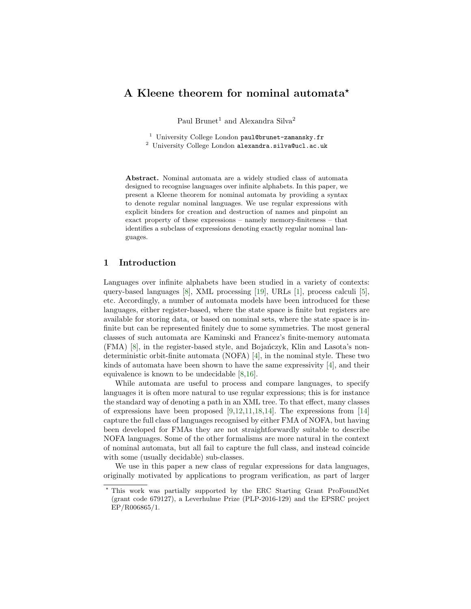# A Kleene theorem for nominal automata<sup>\*</sup>

Paul Brunet<sup>1</sup> and Alexandra Silva<sup>2</sup>

<sup>1</sup> University College London paul@brunet-zamansky.fr

<sup>2</sup> University College London alexandra.silva@ucl.ac.uk

Abstract. Nominal automata are a widely studied class of automata designed to recognise languages over infinite alphabets. In this paper, we present a Kleene theorem for nominal automata by providing a syntax to denote regular nominal languages. We use regular expressions with explicit binders for creation and destruction of names and pinpoint an exact property of these expressions – namely memory-finiteness – that identifies a subclass of expressions denoting exactly regular nominal languages.

# 1 Introduction

Languages over infinite alphabets have been studied in a variety of contexts: query-based languages [\[8\]](#page-16-0), XML processing [\[19\]](#page-16-1), URLs [\[1\]](#page-16-2), process calculi [\[5\]](#page-16-3), etc. Accordingly, a number of automata models have been introduced for these languages, either register-based, where the state space is finite but registers are available for storing data, or based on nominal sets, where the state space is infinite but can be represented finitely due to some symmetries. The most general classes of such automata are Kaminski and Francez's finite-memory automata  $(FMA)$  [\[8\]](#page-16-0), in the register-based style, and Bojanczyk, Klin and Lasota's nondeterministic orbit-finite automata (NOFA) [\[4\]](#page-16-4), in the nominal style. These two kinds of automata have been shown to have the same expressivity [\[4\]](#page-16-4), and their equivalence is known to be undecidable [\[8,](#page-16-0)[16\]](#page-16-5).

While automata are useful to process and compare languages, to specify languages it is often more natural to use regular expressions; this is for instance the standard way of denoting a path in an XML tree. To that effect, many classes of expressions have been proposed  $[9,12,11,18,14]$  $[9,12,11,18,14]$  $[9,12,11,18,14]$  $[9,12,11,18,14]$  $[9,12,11,18,14]$ . The expressions from  $[14]$ capture the full class of languages recognised by either FMA of NOFA, but having been developed for FMAs they are not straightforwardly suitable to describe NOFA languages. Some of the other formalisms are more natural in the context of nominal automata, but all fail to capture the full class, and instead coincide with some (usually decidable) sub-classes.

We use in this paper a new class of regular expressions for data languages, originally motivated by applications to program verification, as part of larger

<sup>?</sup> This work was partially supported by the ERC Starting Grant ProFoundNet (grant code 679127), a Leverhulme Prize (PLP-2016-129) and the EPSRC project EP/R006865/1.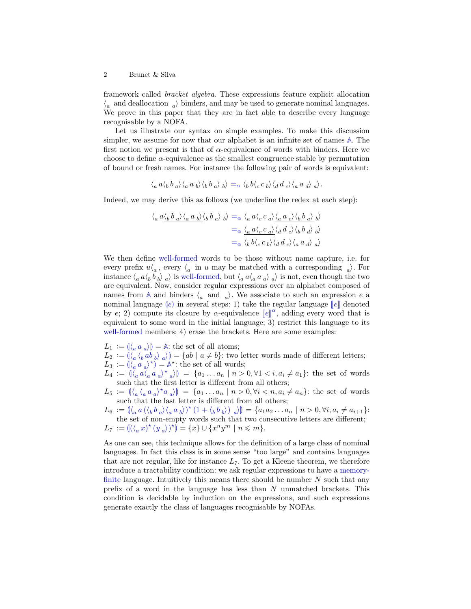framework called bracket algebra. These expressions feature explicit allocation  $\langle_a\>$  and deallocation  $\>_{a}\rangle$  binders, and may be used to generate nominal languages. We prove in this paper that they are in fact able to describe every language recognisable by a NOFA.

Let us illustrate our syntax on simple examples. To make this discussion simpler, we assume for now that our alphabet is an infinite set of names **[A](#page-2-0)**. The first notion we present is that of  $\alpha$ -equivalence of words with binders. Here we choose to define  $\alpha$ -equivalence as the smallest congruence stable by permutation of bound or fresh names. For instance the following pair of words is equivalent:

$$
\langle a a \langle b a b a \rangle \langle a a b b \rangle \langle b b a b a \rangle b = \alpha \langle b b \langle c b b \rangle \langle d d c \rangle \langle a a d \rangle a.
$$

Indeed, we may derive this as follows (we underline the redex at each step):

$$
\langle a \frac{a \langle b \frac{b}{a} \rangle \langle a \frac{a}{b} \rangle}{\langle b \frac{b}{a} \rangle \langle b \frac{b}{a} \rangle b} \rangle = \alpha \langle a \frac{a \langle c \frac{c}{a} \rangle \langle a \frac{a}{c} \rangle \langle b \frac{b}{a} \rangle}{\langle a \frac{c}{a} \rangle \langle a \frac{d}{c} \rangle \langle b \frac{b}{a} \rangle b} \rangle
$$
  

$$
= \alpha \langle a \frac{b \langle c \frac{c}{a} \rangle \langle d \frac{d}{c} \rangle \langle b \frac{b}{a} \frac{d}{a} \rangle}{\langle a \frac{d}{a} \rangle \langle a \frac{d}{a} \rangle \langle a \frac{d}{a} \rangle a} \rangle
$$

We then define [well-formed](#page-8-0) words to be those without name capture, i.e. for every prefix  $u\langle a, e$  every  $\langle a \rangle$  in u may be matched with a corresponding  $\langle a \rangle$ . For instance  $\langle a a \langle b b \rangle_a \rangle$  is [well-formed,](#page-8-0) but  $\langle a a \langle a a \rangle_a \rangle_a$  is not, even though the two are equivalent. Now, consider regular expressions over an alphabet composed of names from  $\mathbb A$  $\mathbb A$  and binders  $\langle a \text{ and } a \rangle$ . We associate to such an expression e a nominal languag[e](#page-2-1)  $\lbrack e \rbrack$  in several steps: 1) take the regular language  $\lbrack\lbrack e \rbrack$  denoted by [e](#page-2-1); 2) compute its closure by  $\alpha$ -equivalence  $\llbracket e \rrbracket^{\alpha}$ , adding every word that is<br>conjugated to some word in the initial language 3) pertriet this language to its equivalent to some word in the initial language; 3) restrict this language to its [well-formed](#page-8-0) members; 4) erase the brackets. Here are some examples:

 $L_1 := (\langle a \mid a \rangle) = \mathbb{A}$  $L_1 := (\langle a \mid a \rangle) = \mathbb{A}$  $L_1 := (\langle a \mid a \rangle) = \mathbb{A}$ : the set of all atoms;<br> $L_1 := \mathbb{A} \setminus \{ a \mid a \rangle \} = \{ a \mid a \neq b \}$ ; two

- $L_2 := (\langle a \, \langle b \, ab \, b \rangle a \rangle) = \{ab \mid a \neq b\}$  $L_2 := (\langle a \, \langle b \, ab \, b \rangle a \rangle) = \{ab \mid a \neq b\}$  $L_2 := (\langle a \, \langle b \, ab \, b \rangle a \rangle) = \{ab \mid a \neq b\}$ : two letter words made of different letters;
- $L_3 := (\langle_a a_a \rangle^*) = A^*$  $L_3 := (\langle_a a_a \rangle^*) = A^*$  $L_3 := (\langle_a a_a \rangle^*) = A^*$ : the set of all words;
- $L_4 := \left( \int_a a \langle_a a_a \rangle^* a \rangle \right) = \{a_1 \dots a_n \mid n > 0, \forall 1 < i, a_i \neq a_1 \}$ : the set of words such that the first letter is different from all others;
- <span id="page-1-1"></span> $L_5 := (\langle a \, \langle a \, a \, a \rangle^* a \, a) ) = \{a_1 \dots a_n \mid n > 0, \forall i < n, a_i \neq a_n \}$ : the set of words such that the last letter is different from all others;
- $L_6 := (\langle_a a (\langle_b b_a \rangle \langle_a a_b \rangle)^* (1 + \langle_b b_b \rangle) a \rangle) = \{a_1 a_2 ... a_n | n > 0, \forall i, a_i \neq a_{i+1}\}\$  $L_6 := (\langle_a a (\langle_b b_a \rangle \langle_a a_b \rangle)^* (1 + \langle_b b_b \rangle) a \rangle) = \{a_1 a_2 ... a_n | n > 0, \forall i, a_i \neq a_{i+1}\}\$  $L_6 := (\langle_a a (\langle_b b_a \rangle \langle_a a_b \rangle)^* (1 + \langle_b b_b \rangle) a \rangle) = \{a_1 a_2 ... a_n | n > 0, \forall i, a_i \neq a_{i+1}\}\$ the set of non-empty words such that two consecutive letters are different;  $L_7 := \left( (\langle_a x \rangle^* (y_a) \rangle^* \right) = \{x\} \cup \{x^n y^m \mid n \leq m\}.$  $L_7 := \left( (\langle_a x \rangle^* (y_a) \rangle^* \right) = \{x\} \cup \{x^n y^m \mid n \leq m\}.$  $L_7 := \left( (\langle_a x \rangle^* (y_a) \rangle^* \right) = \{x\} \cup \{x^n y^m \mid n \leq m\}.$

<span id="page-1-0"></span>As one can see, this technique allows for the definition of a large class of nominal languages. In fact this class is in some sense "too large" and contains languages that are not regular, like for instance  $L_7$  $L_7$ . To get a Kleene theorem, we therefore introduce a tractability condition: we ask regular expressions to have a [memory](#page-10-1)[finite](#page-10-1) language. Intuitively this means there should be number  $N$  such that any prefix of a word in the language has less than N unmatched brackets. This condition is decidable by induction on the expressions, and such expressions generate exactly the class of languages recognisable by NOFAs.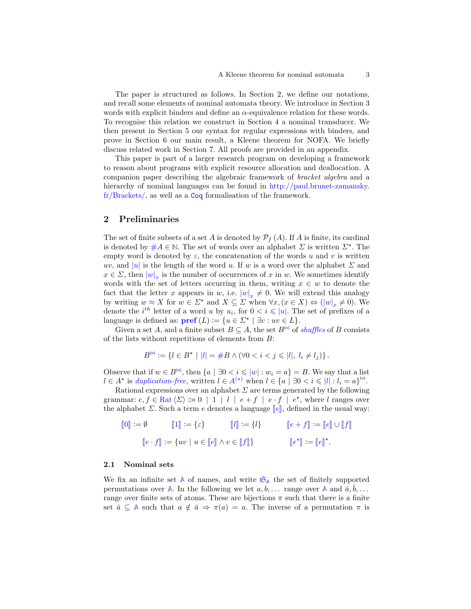The paper is structured as follows. In Section [2,](#page-2-2) we define our notations, and recall some elements of nominal automata theory. We introduce in Section [3](#page-6-0) words with explicit binders and define an  $\alpha$ -equivalence relation for these words. To recognise this relation we construct in Section [4](#page-8-1) a nominal transducer. We then present in Section [5](#page-10-0) our syntax for regular expressions with binders, and prove in Section [6](#page-12-1) our main result, a Kleene theorem for NOFA. We briefly discuss related work in Section [7.](#page-14-0) All proofs are provided in an appendix.

This paper is part of a larger research program on developing a framework to reason about programs with explicit resource allocation and deallocation. A companion paper describing the algebraic framework of bracket algebra and a hierarchy of nominal languages can be found in [http://paul.brunet-zamansky.](http://paul.brunet-zamansky.fr/Brackets/) [fr/Brackets/,](http://paul.brunet-zamansky.fr/Brackets/) as well as a [Coq](https://coq.inria.fr/) formalisation of the framework.

### <span id="page-2-2"></span>2 Preliminaries

<span id="page-2-3"></span>The set of finite subsets of a set A is denoted by  $\mathcal{P}_f(A)$ . If A is finite, its cardinal is denoted by  $#A \in \mathbb{N}$ . The set of words over an alphabet  $\Sigma$  is written  $\Sigma^*$ . The empty word is denoted by  $\varepsilon$ , the concatenation of the words u and v is written uv, and |u| is the length of the word u. If w is a word over the alphabet  $\Sigma$  and  $x \in \Sigma$ , then  $|w|_x$  is the number of occurrences of x in w. We sometimes identify words with the set of letters occurring in them, writing  $x \in w$  to denote the fact that the letter x appears in [w](#page-2-3), i.e.  $|w|_x \neq 0$ . We will extend this analogy by [w](#page-2-3)riting  $w \approx X$  for  $w \in \Sigma^*$  and  $X \subseteq \Sigma$  when  $\forall x, (x \in X) \Leftrightarrow (|w|_x \neq 0)$ . We denote the *i*<s[u](#page-2-3)p>th</sup> letter of a word u by  $u_i$ , for  $0 < i \leq |u|$ . The set of prefixes of a language is defined as:  $\text{pref}(L) := \{u \in \Sigma^* \mid \exists v : uv \in L\}.$ 

<span id="page-2-4"></span>Given a set A, and a finite subset  $B \subseteq A$ , the set  $B^{\bowtie}$  of shuffles of B consists of the lists without repetitions of elements from  $B$ :

$$
B^{\bowtie} := \{ l \in B^{\star} \mid |l| = \#B \land (\forall 0 < i < j \leq |l|, l_i \neq l_j) \}.
$$

Observe that if  $w \in B^{\bowtie}$  $w \in B^{\bowtie}$ , then  $\{a \mid \exists 0 < i \leqslant |w| : w_i = a\} = B$ . We say that a list  $l \in A^*$  $l \in A^*$  is *duplication-free*, written  $l \in A^{(*)}$  when  $l \in \{a \mid \exists 0 < i \leqslant |l| : l_i = a\}^{\bowtie}$ .

<span id="page-2-1"></span>Rational expressions over an alphabet  $\Sigma$  are terms generated by the following grammar:  $e, f \in \text{Rat} \langle \Sigma \rangle := 0 \mid 1 \mid l \mid e + f \mid e \cdot f \mid e^*$ , where l ranges over the alphabet  $\Sigma$ . Such a term e denotes a language  $\llbracket e \rrbracket$ , defined in the usual way:

| $\llbracket 0 \rrbracket := \emptyset$ | $\llbracket 1 \rrbracket := \{ \varepsilon \}$           | $\llbracket l \rrbracket := \{l\}$ | $[e + f] := [e] \cup [f]$                                             |
|----------------------------------------|----------------------------------------------------------|------------------------------------|-----------------------------------------------------------------------|
|                                        | $[e \cdot f] := \{ uv \mid u \in [e] \land v \in [f] \}$ |                                    | $\llbracket e^{\star} \rrbracket := \llbracket e \rrbracket^{\star}.$ |

#### 2.1 Nominal sets

<span id="page-2-0"></span>We fix an infinite set  $\mathbb{A}$  $\mathbb{A}$  $\mathbb{A}$  of names, and write  $\mathfrak{S}_{\mathbb{A}}$  the set of finitely supported permutations over  $\mathbb{A}$  $\mathbb{A}$  $\mathbb{A}$ . In the following we let  $a, b, \ldots$  range over  $\mathbb{A}$  and  $\bar{a}, b, \ldots$ range over finite sets of atoms. These are bijections  $\pi$  such that there is a finite set  $\bar{a} \subseteq A$  $\bar{a} \subseteq A$  such that  $a \notin \bar{a} \Rightarrow \pi(a) = a$ . The inverse of a permutation  $\pi$  is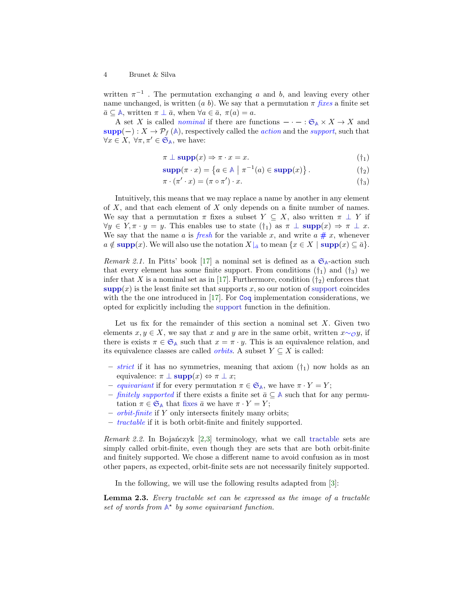written  $\pi^{-1}$ . The permutation exchanging a and b, and leaving every other name unchanged, is written (a b). We say that a permutation  $\pi$  fixes a finite set  $\bar{a} \subseteq \mathbb{A}$  $\bar{a} \subseteq \mathbb{A}$  $\bar{a} \subseteq \mathbb{A}$ , written  $\pi \perp \bar{a}$ , when  $\forall a \in \bar{a}$ ,  $\pi(a) = a$ .

<span id="page-3-0"></span>[A](#page-2-0) set X is called *nominal* if there are functions  $-\cdot - : \mathfrak{S}_A \times X \to X$  $-\cdot - : \mathfrak{S}_A \times X \to X$  $-\cdot - : \mathfrak{S}_A \times X \to X$  and  $\text{supp}(-): X \to \mathcal{P}_f(\mathbb{A})$  $\text{supp}(-): X \to \mathcal{P}_f(\mathbb{A})$  $\text{supp}(-): X \to \mathcal{P}_f(\mathbb{A})$ , respectively called the *action* and the *support*, such that  $\forall x \in X, \ \forall \pi, \pi' \in \mathfrak{S}_{\mathbb{A}},$  $\forall x \in X, \ \forall \pi, \pi' \in \mathfrak{S}_{\mathbb{A}},$  $\forall x \in X, \ \forall \pi, \pi' \in \mathfrak{S}_{\mathbb{A}},$  $\forall x \in X, \ \forall \pi, \pi' \in \mathfrak{S}_{\mathbb{A}},$  $\forall x \in X, \ \forall \pi, \pi' \in \mathfrak{S}_{\mathbb{A}},$  we have:

$$
\pi \perp \text{supp}(x) \Rightarrow \pi \cdot x = x. \tag{\dagger_1}
$$

$$
\operatorname{supp}(\pi \cdot x) = \left\{ a \in \mathbb{A} \mid \pi^{-1}(a) \in \operatorname{supp}(x) \right\}. \tag{†2}
$$

$$
\pi \cdot (\pi' \cdot x) = (\pi \circ \pi') \cdot x. \tag{†3}
$$

<span id="page-3-3"></span>Intuitively, this means that we may replace a name by another in any element of  $X$ , and that each element of  $X$  only depends on a finite number of names. We say that a permutation  $\pi$  fixes a subset  $Y \subseteq X$ , also written  $\pi \perp Y$  if  $\forall y \in Y, \pi \cdot y = y$ . This enables use to state  $(\dagger_1)$  as  $\pi \perp \text{supp}(x) \Rightarrow \pi \perp x$  $\pi \perp \text{supp}(x) \Rightarrow \pi \perp x$  $\pi \perp \text{supp}(x) \Rightarrow \pi \perp x$ . We say that the name a is fresh for the variable x, and write  $a \# x$ , whenever  $a \notin \text{supp}(x)$  $a \notin \text{supp}(x)$  $a \notin \text{supp}(x)$ . We will also use the notation  $X|_{\bar{a}}$  to mean  $\{x \in X \mid \text{supp}(x) \subseteq \bar{a}\}.$ 

Remark 2.1. In Pitts' book [\[17\]](#page-16-11) a nominal set is defined as a  $\mathfrak{S}_{\mathbb{A}}$  $\mathfrak{S}_{\mathbb{A}}$  $\mathfrak{S}_{\mathbb{A}}$  $\mathfrak{S}_{\mathbb{A}}$  $\mathfrak{S}_{\mathbb{A}}$ -action such that every element has some finite support. From conditions  $(\dagger_1)$  and  $(\dagger_3)$  we infer that X is a nominal set as in [\[17\]](#page-16-11). Furthermore, condition  $(\dagger_2)$  enforces that  $\text{supp}(x)$  $\text{supp}(x)$  $\text{supp}(x)$  is the least finite set that [support](#page-3-0)s x, so our notion of support coincides with the the one introduced in  $[17]$ . For [Coq](https://coq.inria.fr/) implementation considerations, we opted for explicitly including the [support](#page-3-0) function in the definition.

<span id="page-3-1"></span>Let us fix for the remainder of this section a nominal set  $X$ . Given two elements  $x, y \in X$ , we say that x and y are in the same orbit, written  $x \sim_{\mathcal{O}} y$ , if there is exists  $\pi \in \mathfrak{S}_{\mathbb{A}}$  $\pi \in \mathfrak{S}_{\mathbb{A}}$  $\pi \in \mathfrak{S}_{\mathbb{A}}$  $\pi \in \mathfrak{S}_{\mathbb{A}}$  $\pi \in \mathfrak{S}_{\mathbb{A}}$  such that  $x = \pi \cdot y$ . This is an equivalence relation, and its equivalence classes are called *orbits*. A subset  $Y \subseteq X$  is called:

- *strict* if it has no symmetries, meaning that axiom  $(\dagger_1)$  now holds as an equivalence:  $\pi \perp \text{supp}(x) \Leftrightarrow \pi \perp x$  $\pi \perp \text{supp}(x) \Leftrightarrow \pi \perp x$  $\pi \perp \text{supp}(x) \Leftrightarrow \pi \perp x$ ;
- equivariant if for every permutation  $\pi \in \mathfrak{S}_{\mathbb{A}}$  $\pi \in \mathfrak{S}_{\mathbb{A}}$  $\pi \in \mathfrak{S}_{\mathbb{A}}$  $\pi \in \mathfrak{S}_{\mathbb{A}}$  $\pi \in \mathfrak{S}_{\mathbb{A}}$ , we have  $\pi \cdot Y = Y$ ;
- finitely supported if there exists a finite set  $\bar{a} \subseteq \mathbb{A}$  $\bar{a} \subseteq \mathbb{A}$  $\bar{a} \subseteq \mathbb{A}$  such that for any permutation  $\pi \in \mathfrak{S}_{\mathbb{A}}$  $\pi \in \mathfrak{S}_{\mathbb{A}}$  $\pi \in \mathfrak{S}_{\mathbb{A}}$  $\pi \in \mathfrak{S}_{\mathbb{A}}$  $\pi \in \mathfrak{S}_{\mathbb{A}}$  that [fixes](#page-2-0)  $\bar{a}$  we have  $\pi \cdot Y = Y$ ;
- orbit-finite if Y only intersects finitely many orbits;
- tractable if it is both orbit-finite and finitely supported.

Remark 2.2. In Bojańczyk  $[2,3]$  $[2,3]$  terminology, what we call [tractable](#page-3-1) sets are simply called orbit-finite, even though they are sets that are both orbit-finite and finitely supported. We chose a different name to avoid confusion as in most other papers, as expected, orbit-finite sets are not necessarily finitely supported.

<span id="page-3-2"></span>In the following, we will use the following results adapted from [\[3\]](#page-16-13):

Lemma 2.3. Every tractable set can be expressed as the image of a tractable set of words from  $A^*$  $A^*$  by some equivariant function.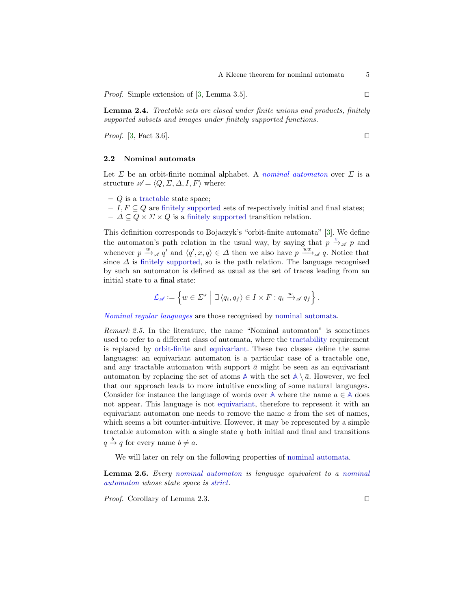*Proof.* Simple extension of [\[3,](#page-16-13) Lemma 3.5].  $\square$ 

<span id="page-4-1"></span>Lemma 2.4. Tractable sets are closed under finite unions and products, finitely supported subsets and images under finitely supported functions.

*Proof.* [\[3,](#page-16-13) Fact 3.6].

### 2.2 Nominal automata

<span id="page-4-0"></span>Let  $\Sigma$  be an orbit-finite nominal alphabet. A nominal automaton over  $\Sigma$  is a structure  $\mathscr{A} = \langle Q, \Sigma, \Delta, I, F \rangle$  where:

 $-$  Q is a [tractable](#page-3-1) state space;

– I,  $F \subseteq Q$  are [finitely supported](#page-3-1) sets of respectively initial and final states;  $-\Delta\subseteq Q\times\Sigma\times Q$  is a [finitely supported](#page-3-1) transition relation.

This definition corresponds to Bojaczyk's "orbit-finite automata" [\[3\]](#page-16-13). We define the automaton's path relation in the usual way, by saying that  $p \stackrel{\varepsilon}{\rightarrow} q$  p and whenever  $p \xrightarrow{w} q'$  and  $\langle q', x, q \rangle \in \Delta$  then we also have  $p \xrightarrow{wx} q q$ . Notice that since  $\Delta$  is [finitely supported,](#page-3-1) so is the path relation. The language recognised by such an automaton is defined as usual as the set of traces leading from an initial state to a final state:

$$
\mathcal{L}_{\mathscr{A}} := \left\{ w \in \Sigma^{\star} \mid \exists \left\langle q_i, q_f \right\rangle \in I \times F : q_i \xrightarrow{w} \mathscr{A} q_f \right\}.
$$

Nominal regular languages are those recognised by [nominal automata.](#page-4-0)

Remark 2.5. In the literature, the name "Nominal automaton" is sometimes used to refer to a different class of automata, where the [tractability](#page-3-1) requirement is replaced by [orbit-finite](#page-3-1) and [equivariant.](#page-3-1) These two classes define the same languages: an equivariant automaton is a particular case of a tractable one, and any tractable automaton with support  $\bar{a}$  might be seen as an equivariant automaton by replacing the set of atoms  $\mathbb{A}$  $\mathbb{A}$  $\mathbb{A}$  with the set  $\mathbb{A} \setminus \overline{a}$ . However, we feel that our approach leads to more intuitive encoding of some natural languages. Consider for instance the language of words over  $\mathbb{A}$  $\mathbb{A}$  $\mathbb{A}$  where the name  $a \in \mathbb{A}$  does not appear. This language is not [equivariant,](#page-3-1) therefore to represent it with an equivariant automaton one needs to remove the name  $a$  from the set of names, which seems a bit counter-intuitive. However, it may be represented by a simple tractable automaton with a single state  $q$  both initial and final and transitions  $q \stackrel{b}{\rightarrow} q$  for every name  $b \neq a$ .

We will later on rely on the following properties of [nominal automata.](#page-4-0)

Lemma 2.6. Every [nominal automaton](#page-4-0) is language equivalent to a [nominal](#page-4-0) [automaton](#page-4-0) whose state space is [strict.](#page-3-1)

*Proof.* Corollary of Lemma [2.3.](#page-3-2)  $\Box$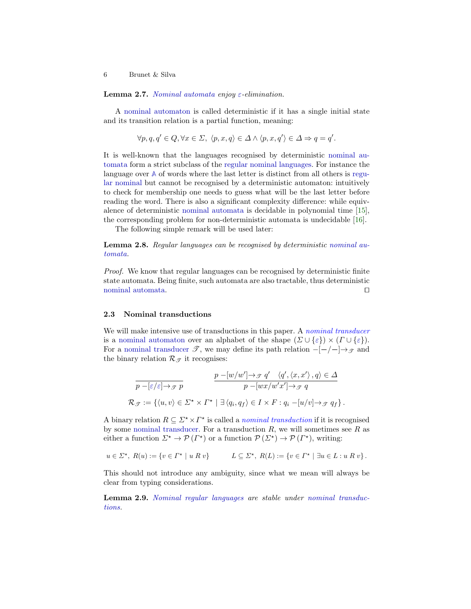Lemma 2.7. [Nominal automata](#page-4-0) enjoy  $\varepsilon$ -elimination.

A [nominal automaton](#page-4-0) is called deterministic if it has a single initial state and its transition relation is a partial function, meaning:

$$
\forall p, q, q' \in Q, \forall x \in \Sigma, \ \langle p, x, q \rangle \in \Delta \land \langle p, x, q' \rangle \in \Delta \Rightarrow q = q'.
$$

It is well-known that the languages recognised by deterministic [nominal au](#page-4-0)[tomata](#page-4-0) form a strict subclass of the [regular nominal languages.](#page-4-0) For instance the language over **[A](#page-2-0)** of words where the last letter is distinct from all others is [regu](#page-4-0)[lar nominal](#page-4-0) but cannot be recognised by a deterministic automaton: intuitively to check for membership one needs to guess what will be the last letter before reading the word. There is also a significant complexity difference: while equivalence of deterministic [nominal automata](#page-4-0) is decidable in polynomial time [\[15\]](#page-16-14), the corresponding problem for non-deterministic automata is undecidable [\[16\]](#page-16-5).

The following simple remark will be used later:

Lemma 2.8. Regular languages can be recognised by deterministic [nominal au](#page-4-0)[tomata.](#page-4-0)

Proof. We know that regular languages can be recognised by deterministic finite state automata. Being finite, such automata are also tractable, thus deterministic [nominal automata.](#page-4-0)  $\Box$ 

#### <span id="page-5-0"></span>2.3 Nominal transductions

We will make intensive use of transductions in this paper. A nominal transducer is a [nominal automaton](#page-4-0) over an alphabet of the shape  $(\Sigma \cup {\epsilon}) \times (\Gamma \cup {\epsilon}).$ For a [nominal transducer](#page-5-0)  $\mathscr{T}$ , we may define its path relation  $-[-/-]\rightarrow_{\mathscr{T}}$  and the binary relation  $\mathcal{R}_{\mathscr{T}}$  it recognises:

$$
\frac{p - [w/w'] \to_{\mathcal{F}} q' \quad \langle q', \langle x, x' \rangle, q \rangle \in \Delta}{p - [wx/w'x'] \to_{\mathcal{F}} q}
$$
\n
$$
\mathcal{R}_{\mathcal{F}} := \{ \langle u, v \rangle \in \Sigma^* \times \Gamma^* \mid \exists \langle q_i, q_f \rangle \in I \times F : q_i - [u/v] \to_{\mathcal{F}} q_f \}.
$$

A binary relation  $R \subseteq \Sigma^* \times \Gamma^*$  is called a *nominal transduction* if it is recognised by some [nominal transducer.](#page-5-0) For a transduction  $R$ , we will sometimes see  $R$  as either a function  $\Sigma^* \to \mathcal{P}(\Gamma^*)$  or a function  $\mathcal{P}(\Sigma^*) \to \mathcal{P}(\Gamma^*)$ , writing:

$$
u\in \varSigma^\star,\; R(u):=\left\{v\in \varGamma^\star\ |\ u\mathrel{R} v\right\}\qquad \quad L\subseteq \varSigma^\star,\; R(L):=\left\{v\in \varGamma^\star\ |\ \exists u\in L: u\mathrel{R} v\right\}.
$$

<span id="page-5-1"></span>This should not introduce any ambiguity, since what we mean will always be clear from typing considerations.

Lemma 2.9. [Nominal regular languages](#page-4-0) are stable under [nominal transduc](#page-5-0)[tions.](#page-5-0)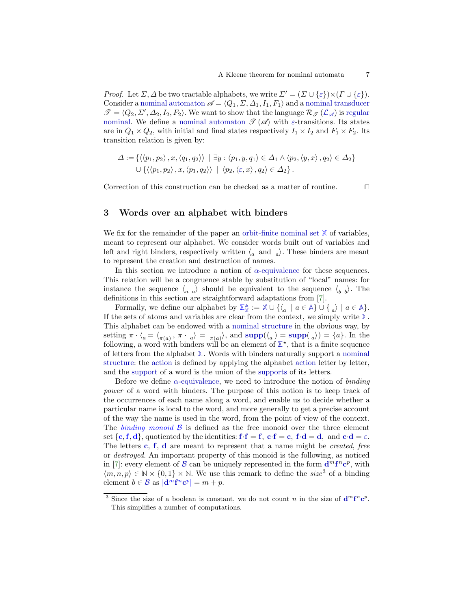*Proof.* Let  $\Sigma$ ,  $\Delta$  be two tractable alphabets, we write  $\Sigma' = (\Sigma \cup {\varepsilon}) \times (\Gamma \cup {\varepsilon})$ . Consider a [nominal automaton](#page-4-0)  $\mathscr{A} = \langle Q_1, \Sigma, \Delta_1, I_1, F_1 \rangle$  and a [nominal transducer](#page-5-0)  $\mathscr{T} = \langle Q_2, \Sigma', \Delta_2, I_2, F_2 \rangle$ . We want to show that the language  $\mathcal{R}_{\mathscr{T}}(\mathcal{L}_{\mathscr{A}})$  $\mathcal{R}_{\mathscr{T}}(\mathcal{L}_{\mathscr{A}})$  $\mathcal{R}_{\mathscr{T}}(\mathcal{L}_{\mathscr{A}})$  is [regular](#page-4-0) [nominal.](#page-4-0) We define a [nominal automaton](#page-4-0)  $\mathscr{T}(\mathscr{A})$  with  $\varepsilon$ -transitions. Its states are in  $Q_1 \times Q_2$ , with initial and final states respectively  $I_1 \times I_2$  and  $F_1 \times F_2$ . Its transition relation is given by:

$$
\Delta := \{ \langle \langle p_1, p_2 \rangle, x, \langle q_1, q_2 \rangle \rangle \mid \exists y : \langle p_1, y, q_1 \rangle \in \Delta_1 \land \langle p_2, \langle y, x \rangle, q_2 \rangle \in \Delta_2 \}
$$
  

$$
\cup \{ \langle \langle p_1, p_2 \rangle, x, \langle p_1, q_2 \rangle \rangle \mid \langle p_2, \langle \varepsilon, x \rangle, q_2 \rangle \in \Delta_2 \}.
$$

Correction of this construction can be checked as a matter of routine.  $\Box$ 

# <span id="page-6-0"></span>3 Words over an alphabet with binders

<span id="page-6-1"></span>We fix for the remainder of the paper an [orbit-finite](#page-3-1) [nominal set](#page-3-0)  $X$  of variables, meant to represent our alphabet. We consider words built out of variables and left and right binders, respectively written  $\langle a \text{ and } a \rangle$ . These binders are meant to represent the creation and destruction of names.

In this section we introduce a notion of  $\alpha$ [-equivalence](#page-7-0) for these sequences. This relation will be a congruence stable by substitution of "local" names: for instance the sequence  $\langle a \rangle$  should be equivalent to the sequence  $\langle b \rangle$ . The definitions in this section are straightforward adaptations from [\[7\]](#page-16-15).

<span id="page-6-2"></span>Formally, we define our alphabet by  $\mathbb{Z}_{\mathbb{X}}^{\mathbb{A}} := \mathbb{X} \cup \{ \{ \{ a \mid a \in \mathbb{A} \} \cup \{ a \} \mid a \in \mathbb{A} \}.$  $\mathbb{Z}_{\mathbb{X}}^{\mathbb{A}} := \mathbb{X} \cup \{ \{ \{ a \mid a \in \mathbb{A} \} \cup \{ a \} \mid a \in \mathbb{A} \}.$  $\mathbb{Z}_{\mathbb{X}}^{\mathbb{A}} := \mathbb{X} \cup \{ \{ \{ a \mid a \in \mathbb{A} \} \cup \{ a \} \mid a \in \mathbb{A} \}.$  $\mathbb{Z}_{\mathbb{X}}^{\mathbb{A}} := \mathbb{X} \cup \{ \{ \{ a \mid a \in \mathbb{A} \} \cup \{ a \} \mid a \in \mathbb{A} \}.$  $\mathbb{Z}_{\mathbb{X}}^{\mathbb{A}} := \mathbb{X} \cup \{ \{ \{ a \mid a \in \mathbb{A} \} \cup \{ a \} \mid a \in \mathbb{A} \}.$ If the sets of atoms and variables are clear from the context, we simply write **[Σ](#page-6-2)**. This alphabet can be endowed with a [nominal structure](#page-3-0) in the obvious way, by setting  $\pi \cdot \langle a = \langle \pi(a), \pi \cdot a \rangle = \pi(a)$ , and  $\text{supp}(\langle a \rangle) = \text{supp}(a)$  $\text{supp}(\langle a \rangle) = \text{supp}(a)$  $\text{supp}(\langle a \rangle) = \text{supp}(a)$  =  $\{a\}$ . In the following, a word with binders will be an element of  $\Sigma^*$ , that is a finite sequence of letters from the alphabet **[Σ](#page-6-2)**. Words with binders naturally support a [nominal](#page-3-0) [structure:](#page-3-0) the [action](#page-3-0) is defined by applying the alphabet [action](#page-3-0) letter by letter, and the [support](#page-3-0) of a word is the union of the [supports](#page-3-0) of its letters.

<span id="page-6-3"></span>Before we define  $\alpha$ [-equivalence,](#page-7-0) we need to introduce the notion of *binding* power of a word with binders. The purpose of this notion is to keep track of the occurrences of each name along a word, and enable us to decide whether a particular name is local to the word, and more generally to get a precise account of the way the name is used in the word, from the point of view of the context. The *binding monoid*  $\beta$  is defined as the free monoid over the three element set  $\{c,f,d\}$  $\{c,f,d\}$  $\{c,f,d\}$  $\{c,f,d\}$  $\{c,f,d\}$ , quotiented by the identities:  $f \cdot f = f$  $f \cdot f = f$  $f \cdot f = f$ ,  $c \cdot f = c$ ,  $f \cdot d = d$ , and  $c \cdot d = \varepsilon$ . The letters  $c, f, d$  $c, f, d$  $c, f, d$  $c, f, d$  $c, f, d$  are meant to represent that a name might be *created, free* or destroyed. An important property of this monoid is the following, as noticed in [\[7\]](#page-16-15): every element of [B](#page-6-3) can be uniquely represente[d](#page-6-3) in the [f](#page-6-3)orm  $\mathbf{d}^m \mathbf{f}^n \mathbf{c}^p$  $\mathbf{d}^m \mathbf{f}^n \mathbf{c}^p$  $\mathbf{d}^m \mathbf{f}^n \mathbf{c}^p$ , with  $\langle m, n, p \rangle \in \mathbb{N} \times \{0, 1\} \times \mathbb{N}$ . We use this remark to define the size<sup>[3](#page-6-4)</sup> of a binding element  $b \in \mathcal{B}$  $b \in \mathcal{B}$  $b \in \mathcal{B}$  as  $|\mathbf{d}^m \mathbf{f}^n \mathbf{c}^p| = m + p$  $|\mathbf{d}^m \mathbf{f}^n \mathbf{c}^p| = m + p$  $|\mathbf{d}^m \mathbf{f}^n \mathbf{c}^p| = m + p$  $|\mathbf{d}^m \mathbf{f}^n \mathbf{c}^p| = m + p$  $|\mathbf{d}^m \mathbf{f}^n \mathbf{c}^p| = m + p$  $|\mathbf{d}^m \mathbf{f}^n \mathbf{c}^p| = m + p$  $|\mathbf{d}^m \mathbf{f}^n \mathbf{c}^p| = m + p$ .

<span id="page-6-4"></span><sup>&</sup>lt;sup>3</sup> Since the size of a boolean is constant, we [d](#page-6-3)o not [c](#page-6-3)ount *n* in the size o[f](#page-6-3)  $d^m f^n c^p$ . This simplifies a number of computations.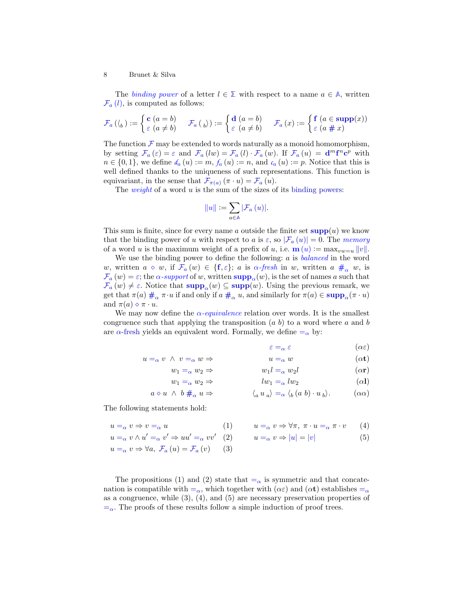<span id="page-7-1"></span>The binding power of a letter  $l \in \mathbb{Z}$  with respect to a name  $a \in \mathbb{A}$  $a \in \mathbb{A}$  $a \in \mathbb{A}$ , written  $\mathcal{F}_a(l)$  $\mathcal{F}_a(l)$  $\mathcal{F}_a(l)$ , is computed as follows:

$$
\mathcal{F}_{a}\left(\mathcal{C}_{b}\right):=\begin{cases}\mathbf{c}\left(a=b\right)\\ \varepsilon\left(a\neq b\right)\end{cases}\quad\mathcal{F}_{a}\left(\mathcal{C}_{b}\right):=\begin{cases}\mathbf{d}\left(a=b\right)\\ \varepsilon\left(a\neq b\right)\end{cases}\quad\mathcal{F}_{a}\left(x\right):=\begin{cases}\mathbf{f}\left(a\in\mathbf{supp}(x)\right)\\ \varepsilon\left(a\#x\right)\end{cases}
$$

<span id="page-7-9"></span>The function  $\mathcal F$  $\mathcal F$  may be extended to words naturally as a monoid homomorphism, by setting  $\mathcal{F}_a(\varepsilon) = \varepsilon$  $\mathcal{F}_a(\varepsilon) = \varepsilon$  $\mathcal{F}_a(\varepsilon) = \varepsilon$  an[d](#page-6-3)  $\mathcal{F}_a(lw) = \mathcal{F}_a(l) \cdot \mathcal{F}_a(w)$  $\mathcal{F}_a(lw) = \mathcal{F}_a(l) \cdot \mathcal{F}_a(w)$  $\mathcal{F}_a(lw) = \mathcal{F}_a(l) \cdot \mathcal{F}_a(w)$ . I[f](#page-6-3)  $\mathcal{F}_a(u) = d^m f^n c^p$  with  $n \in \{0,1\}$ , we define  $d_a(u) := m$ ,  $f_a(u) := n$ , and  $c_a(u) := p$ . Notice that this is well defined thanks to the uniqueness of such representations. This function is equivariant, in the sense that  $\mathcal{F}_{\pi(a)}(\pi \cdot u) = \mathcal{F}_a(u)$  $\mathcal{F}_{\pi(a)}(\pi \cdot u) = \mathcal{F}_a(u)$  $\mathcal{F}_{\pi(a)}(\pi \cdot u) = \mathcal{F}_a(u)$ .

<span id="page-7-2"></span>The *weight* of a word  $u$  is the sum of the sizes of its [binding powers:](#page-7-1)

$$
||u||:=\sum_{a\in\mathbb{A}}|\mathcal{F}_{a}\left(u\right)|.
$$

This sum is finite, since for every name a outside the finite set  $\text{supp}(u)$  $\text{supp}(u)$  $\text{supp}(u)$  we know that the binding power of u with respect to a is  $\varepsilon$ , so  $|\mathcal{F}_a(u)| = 0$ . The memory of a word u is the maximum weight of a prefix of u, i.e.  $\mathbf{m}(u) := \max_{vw=u} ||v||$ .

<span id="page-7-3"></span>We use the binding power to define the following:  $a$  is *balanced* in the word w, written  $a \circ w$ , i[f](#page-6-3)  $\mathcal{F}_a(w) \in \{\mathbf{f}, \varepsilon\}; a \text{ is } \alpha\text{-}$  $\mathcal{F}_a(w) \in \{\mathbf{f}, \varepsilon\}; a \text{ is } \alpha\text{-}$  $\mathcal{F}_a(w) \in \{\mathbf{f}, \varepsilon\}; a \text{ is } \alpha\text{-}$  fresh in w, written  $a \#_{\alpha} w$ , is  $\mathcal{F}_a(w) = \varepsilon$  $\mathcal{F}_a(w) = \varepsilon$  $\mathcal{F}_a(w) = \varepsilon$ ; the  $\alpha$ -support of w, written  $\text{supp}_{\alpha}(w)$ , is the set of names a such that  $\mathcal{F}_a(w) \neq \varepsilon$  $\mathcal{F}_a(w) \neq \varepsilon$  $\mathcal{F}_a(w) \neq \varepsilon$ . Notice that  $\text{supp}_\alpha(w) \subseteq \text{supp}(w)$  $\text{supp}_\alpha(w) \subseteq \text{supp}(w)$  $\text{supp}_\alpha(w) \subseteq \text{supp}(w)$ . Using the previous remark, we get that  $\pi(a) \#_{\alpha} \pi \cdot u$  $\pi(a) \#_{\alpha} \pi \cdot u$  $\pi(a) \#_{\alpha} \pi \cdot u$  if and only if  $a \#_{\alpha} u$ , and similarly for  $\pi(a) \in \text{supp}_{\alpha}(\pi \cdot u)$  $\pi(a) \in \text{supp}_{\alpha}(\pi \cdot u)$  $\pi(a) \in \text{supp}_{\alpha}(\pi \cdot u)$ and  $\pi(a) \diamond \pi \cdot u$ .

<span id="page-7-0"></span>We may now define the  $\alpha$ -equivalence relation over words. It is the smallest congruence such that applying the transposition  $(a, b)$  to a word where a and b are  $\alpha$ [-fresh](#page-7-3) yields an equivalent word. Formally, we define  $=_{\alpha}$  by:

<span id="page-7-8"></span><span id="page-7-7"></span>
$$
\varepsilon =_{\alpha} \varepsilon \qquad \qquad (\alpha \varepsilon)
$$

 $u =_{\alpha} v \wedge v =_{\alpha} w \Rightarrow$  $u =_{\alpha} v \wedge v =_{\alpha} w \Rightarrow$  $u =_{\alpha} v \wedge v =_{\alpha} w \Rightarrow$   $u =_{\alpha} w$  ( $\alpha t$ )

$$
w_1 l =_\alpha w_2 l \tag{or}
$$

<span id="page-7-6"></span><span id="page-7-5"></span><span id="page-7-4"></span>
$$
lw_1 =_\alpha lw_2\tag{ \alpha l }
$$

$$
a \diamond u \ \wedge \ b \#_{\alpha} u \Rightarrow \qquad \qquad \langle_{a} u_{a} \rangle =_{\alpha} \langle_{b} (a b) \cdot u_{b} \rangle. \qquad (\alpha \alpha)
$$

The following statements hold:

$$
u =_{\alpha} v \Rightarrow v =_{\alpha} u \tag{4}
$$

$$
u =_{\alpha} v \wedge u' =_{\alpha} v' \Rightarrow uu' =_{\alpha} vv' \quad (2) \qquad u =_{\alpha} v \Rightarrow |u| = |v| \tag{5}
$$

$$
u =_{\alpha} v \Rightarrow \forall a, \ \mathcal{F}_a(u) = \mathcal{F}_a(v) \qquad (3)
$$

 $w_1 = \alpha w_2 \Rightarrow$  $w_1 = \alpha w_2 \Rightarrow$  $w_1 = \alpha w_2 \Rightarrow$  $w_1 = \alpha w_2 \Rightarrow$  $w_1 = \alpha w_2 \Rightarrow$  $w_1 = \alpha w_2 \Rightarrow$ 

The propositions [\(1\)](#page-7-4) and [\(2\)](#page-7-5) state that  $=_{\alpha}$  $=_{\alpha}$  is symmetric and that concatenation is compatible with  $=\alpha$  $=\alpha$ , which together with  $(\alpha \varepsilon)$  and  $(\alpha t)$  establishes  $=\alpha$ as a congruence, while  $(3)$ ,  $(4)$ , and  $(5)$  are necessary preservation properties of  $=\alpha$  $=\alpha$ . The proofs of these results follow a simple induction of proof trees.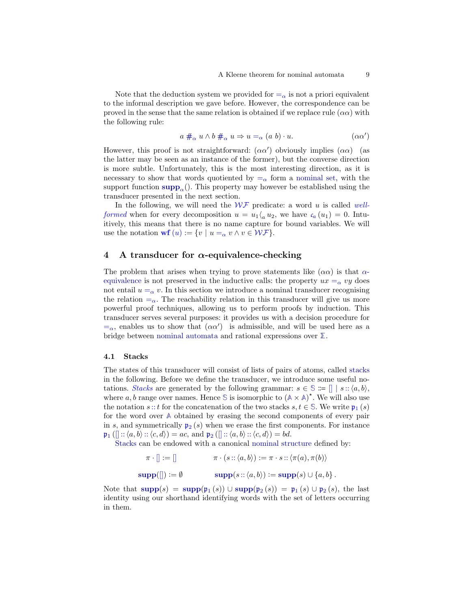Note that the deduction system we provided for  $=_{\alpha}$  $=_{\alpha}$  is not a priori equivalent to the informal description we gave before. However, the correspondence can be proved in the sense that the same relation is obtained if we replace rule  $(\alpha \alpha)$  with the following rule:

<span id="page-8-2"></span>
$$
a \#_{\alpha} u \wedge b \#_{\alpha} u \Rightarrow u =_{\alpha} (a b) \cdot u. \qquad (\alpha \alpha')
$$

However, this proof is not straightforward:  $(\alpha \alpha')$  obviously implies  $(\alpha \alpha)$  (as the latter may be seen as an instance of the former), but the converse direction is more subtle. Unfortunately, this is the most interesting direction, as it is necessary to show that words quotiented by  $=_{\alpha}$  $=_{\alpha}$  form a [nominal set,](#page-3-0) with the [supp](#page-7-3)ort function  $\text{supp}_{\alpha}$ . This property may however be established using the transducer presented in the next section.

<span id="page-8-0"></span>In the following, we will need the  $W\mathcal{F}$  predicate: a word u is called well*formed* when for every de[c](#page-7-9)omposition  $u = u_1 \langle u_1, u_2 \rangle$ , we have  $c_a(u_1) = 0$ . Intuitively, this means that there is no name capture for bound variables. We will use the notation  $\mathbf{wf}(u) := \{v \mid u = \alpha v \land v \in \mathcal{WF}\}.$  $\mathbf{wf}(u) := \{v \mid u = \alpha v \land v \in \mathcal{WF}\}.$  $\mathbf{wf}(u) := \{v \mid u = \alpha v \land v \in \mathcal{WF}\}.$  $\mathbf{wf}(u) := \{v \mid u = \alpha v \land v \in \mathcal{WF}\}.$  $\mathbf{wf}(u) := \{v \mid u = \alpha v \land v \in \mathcal{WF}\}.$ 

### <span id="page-8-1"></span>4 A transducer for  $\alpha$ -equivalence-checking

The problem that arises when trying to prove statements like  $(\alpha \alpha)$  is that  $\alpha$ [equivalence](#page-7-0) is not preserved in the inductive calls: the property  $ux = \alpha vy$  $ux = \alpha vy$  $ux = \alpha vy$  does not entail  $u = \alpha v$  $u = \alpha v$  $u = \alpha v$ . In this section we introduce a nominal transducer recognising the relation  $=_{\alpha}$  $=_{\alpha}$ . The reachability relation in this transducer will give us more powerful proof techniques, allowing us to perform proofs by induction. This transducer serves several purposes: it provides us with a decision procedure for  $=\alpha$  $=\alpha$ , enables us to show that  $(\alpha \alpha')$  is admissible, and will be used here as a bridge between [nominal automata](#page-4-0) and rational expressions over **[Σ](#page-6-2)**.

#### 4.1 Stacks

<span id="page-8-3"></span>The states of this transducer will consist of lists of pairs of atoms, called [stacks](#page-8-3) in the following. Before we define the transducer, we introduce some useful notations. Stacks are generated by the following grammar:  $s \in \mathbb{S} := \mathbb{R} \mid s :: \langle a, b \rangle$ , where a, b range over names. Hence [S](#page-8-3) is isomorphic to  $(A \times A)^*$  $(A \times A)^*$  $(A \times A)^*$ . We will also use the notation s [::](#page-8-3) t for the concatenation of the two stacks  $s, t \in \mathbb{S}$  $s, t \in \mathbb{S}$  $s, t \in \mathbb{S}$ . We write  $p_1(s)$ for the word over **[A](#page-2-0)** obtained by erasing the second components of every pair in s, and symmetrically  $p_2(s)$  when we erase the first components. For instance  $\mathfrak{p}_1\left(\left[\right]::\langle a,b\rangle:\langle c,d\rangle\right)=ac$  $\mathfrak{p}_1\left(\left[\right]::\langle a,b\rangle:\langle c,d\rangle\right)=ac$  $\mathfrak{p}_1\left(\left[\right]::\langle a,b\rangle:\langle c,d\rangle\right)=ac$  $\mathfrak{p}_1\left(\left[\right]::\langle a,b\rangle:\langle c,d\rangle\right)=ac$  $\mathfrak{p}_1\left(\left[\right]::\langle a,b\rangle:\langle c,d\rangle\right)=ac$ , and  $\mathfrak{p}_2\left(\left[\right]::\langle a,b\rangle:\langle c,d\rangle\right)=bd.$ 

[Stacks](#page-8-3) can be endowed with a canonical [nominal structure](#page-3-0) defined by:

 $\pi \cdot [] := []$  $\pi \cdot [] := []$  $\pi \cdot [] := []$   $\pi \cdot (s :: \langle a, b \rangle) := \pi \cdot s :: \langle \pi(a), \pi(b) \rangle$  $\pi \cdot (s :: \langle a, b \rangle) := \pi \cdot s :: \langle \pi(a), \pi(b) \rangle$  $\pi \cdot (s :: \langle a, b \rangle) := \pi \cdot s :: \langle \pi(a), \pi(b) \rangle$  $\text{supp}(\mathbb{I}) := \emptyset$  $\text{supp}(\mathbb{I}) := \emptyset$  $\text{supp}(\mathbb{I}) := \emptyset$   $\text{supp}(s :: \langle a, b \rangle) := \text{supp}(s) \cup \{a, b\}.$  $\text{supp}(s :: \langle a, b \rangle) := \text{supp}(s) \cup \{a, b\}.$  $\text{supp}(s :: \langle a, b \rangle) := \text{supp}(s) \cup \{a, b\}.$ 

Note that  $\text{supp}(s) = \text{supp}(\mathfrak{p}_1(s)) \cup \text{supp}(\mathfrak{p}_2(s)) = \mathfrak{p}_1(s) \cup \mathfrak{p}_2(s)$  $\text{supp}(s) = \text{supp}(\mathfrak{p}_1(s)) \cup \text{supp}(\mathfrak{p}_2(s)) = \mathfrak{p}_1(s) \cup \mathfrak{p}_2(s)$  $\text{supp}(s) = \text{supp}(\mathfrak{p}_1(s)) \cup \text{supp}(\mathfrak{p}_2(s)) = \mathfrak{p}_1(s) \cup \mathfrak{p}_2(s)$  $\text{supp}(s) = \text{supp}(\mathfrak{p}_1(s)) \cup \text{supp}(\mathfrak{p}_2(s)) = \mathfrak{p}_1(s) \cup \mathfrak{p}_2(s)$  $\text{supp}(s) = \text{supp}(\mathfrak{p}_1(s)) \cup \text{supp}(\mathfrak{p}_2(s)) = \mathfrak{p}_1(s) \cup \mathfrak{p}_2(s)$ , the last identity using our shorthand identifying words with the set of letters occurring in them.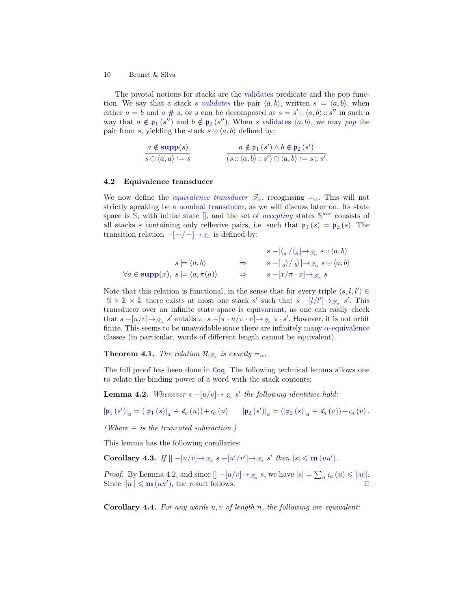<span id="page-9-0"></span>The pivotal notions for stacks are the [validates](#page-9-0) predicate and the [pop](#page-9-0) function. We say that a stack s validates the pair  $\langle a, b \rangle$ , written  $s \models \langle a, b \rangle$ , when either  $a = b$  and  $a \neq s$ , or s can be decomposed as  $s = s' :: \langle a, b \rangle :: s''$  $s = s' :: \langle a, b \rangle :: s''$  $s = s' :: \langle a, b \rangle :: s''$  in such a way that  $a \notin \mathfrak{p}_1(s'')$  $a \notin \mathfrak{p}_1(s'')$  $a \notin \mathfrak{p}_1(s'')$  and  $b \notin \mathfrak{p}_2(s'')$ . When s [validates](#page-9-0)  $\langle a, b \rangle$ , we may pop the pair from s, yielding the stack  $s \ominus \langle a, b \rangle$  defined by:

$$
\frac{a \notin \text{supp}(s)}{s \odot \langle a, a \rangle := s} \qquad \qquad \frac{a \notin \mathfrak{p}_1 \left( s' \right) \land b \notin \mathfrak{p}_2 \left( s' \right)}{\left( s :: \langle a, b \rangle : s' \right) \odot \langle a, b \rangle := s :: s'}.
$$

#### 4.2 Equivalence transducer

<span id="page-9-1"></span>We now define the *equivalence transducer*  $\mathcal{T}_{\alpha}$ , recognising  $=_{\alpha}$  $=_{\alpha}$ . This will not strictly speaking be a [nominal transducer,](#page-5-0) as we will discuss later on. Its state space is  $\mathbb{S}$  $\mathbb{S}$  $\mathbb{S}$ , with initial state  $\parallel$ , and the set of *accepting* states  $\mathbb{S}^{acc}$  consists of all stacks s containing only reflexive [p](#page-8-3)airs, i.e. such that  $\mathfrak{p}_1(s) = \mathfrak{p}_2(s)$ . The transition relation  $-[-/-]\rightarrow_{\mathscr{T}_{\alpha}}$  is defined by:

$$
s = \langle a, b \rangle
$$
  
\n
$$
s \models \langle a, b \rangle
$$
  
\n
$$
\forall a \in \text{supp}(x), \ s \models \langle a, \pi(a) \rangle
$$
  
\n
$$
\Rightarrow s = [a/\pi \cdot x] \rightarrow \mathcal{F}_{\alpha} \ s \cup \langle a, b \rangle
$$
  
\n
$$
s \models \langle a, \pi(a) \rangle
$$
  
\n
$$
\Rightarrow s = [x/\pi \cdot x] \rightarrow \mathcal{F}_{\alpha} \ s
$$

Note that this relation is functional, in the sense that for every triple  $\langle s, l, l' \rangle \in$  $\mathbb{S} \times \mathbb{Z} \times \mathbb{Z}$  $\mathbb{S} \times \mathbb{Z} \times \mathbb{Z}$  $\mathbb{S} \times \mathbb{Z} \times \mathbb{Z}$  there exists at most one stack s' such that  $s - [l/l'] \rightarrow_{\mathcal{F}_{\alpha}} s'$  $s - [l/l'] \rightarrow_{\mathcal{F}_{\alpha}} s'$  $s - [l/l'] \rightarrow_{\mathcal{F}_{\alpha}} s'$ . This transducer over an infinite state space is [equivariant,](#page-3-1) as one can easily check that  $s - [u/v] \rightarrow_{\mathscr{T}_{\alpha}} s'$  $s - [u/v] \rightarrow_{\mathscr{T}_{\alpha}} s'$  $s - [u/v] \rightarrow_{\mathscr{T}_{\alpha}} s'$  entails  $\pi \cdot s - [\pi \cdot u/\pi \cdot v] \rightarrow_{\mathscr{T}_{\alpha}} \pi \cdot s'.$  However, it is not orbit finite. This seems to be unavoidable since there are infinitely many  $\alpha$ [-equivalence](#page-7-0) classes (in particular, words of different length cannot be equivalent).

<span id="page-9-5"></span>**[T](#page-9-1)heorem 4.1.** The relation  $\mathcal{R}_{\mathcal{T}_{\alpha}}$  is exactly  $=_{\alpha}$  $=_{\alpha}$ .

<span id="page-9-2"></span>The full proof has been done in [Coq](https://coq.inria.fr/). The following technical lemma allows one to relate the binding power of a word with the stack contents:

**Lemma 4.2.** Whenever  $s - [u/v] \rightarrow_{\mathscr{T}_{\alpha}} s'$  $s - [u/v] \rightarrow_{\mathscr{T}_{\alpha}} s'$  $s - [u/v] \rightarrow_{\mathscr{T}_{\alpha}} s'$  the following identities hold:

$$
\left|\mathfrak{p}_{1}\left(s^{\prime}\right)\right|_{a}=\left(\left|\mathfrak{p}_{1}\left(s\right)\right|_{a}-d_{a}\left(u\right)\right)+c_{a}\left(u\right) \qquad\left|\mathfrak{p}_{2}\left(s^{\prime}\right)\right|_{a}=\left(\left|\mathfrak{p}_{2}\left(s\right)\right|_{a}-d_{a}\left(v\right)\right)+c_{a}\left(v\right).
$$

(Where  $\div$  is the truncated subtraction.)

<span id="page-9-3"></span>This lemma has the following corollaries:

Corollary 4.3. If  $[]-[u/v]\rightarrow_{\mathscr{T}_{\alpha}} s - [u'/v'] \rightarrow_{\mathscr{T}_{\alpha}} s'$  $[]-[u/v]\rightarrow_{\mathscr{T}_{\alpha}} s - [u'/v'] \rightarrow_{\mathscr{T}_{\alpha}} s'$  $[]-[u/v]\rightarrow_{\mathscr{T}_{\alpha}} s - [u'/v'] \rightarrow_{\mathscr{T}_{\alpha}} s'$  $[]-[u/v]\rightarrow_{\mathscr{T}_{\alpha}} s - [u'/v'] \rightarrow_{\mathscr{T}_{\alpha}} s'$  $[]-[u/v]\rightarrow_{\mathscr{T}_{\alpha}} s - [u'/v'] \rightarrow_{\mathscr{T}_{\alpha}} s'$  $[]-[u/v]\rightarrow_{\mathscr{T}_{\alpha}} s - [u'/v'] \rightarrow_{\mathscr{T}_{\alpha}} s'$  then  $|s| \leq m (uu')$  $|s| \leq m (uu')$  $|s| \leq m (uu')$ .

*Proof.* By Lemma [4.2,](#page-9-2) and [s](#page-2-3)in[c](#page-7-9)e  $\left[ \n\begin{array}{c} -\left[ u/v \right] \rightarrow \mathcal{F}_{\alpha} \n\end{array} \n\right.$  $\left[ \n\begin{array}{c} -\left[ u/v \right] \rightarrow \mathcal{F}_{\alpha} \n\end{array} \n\right.$  $\left[ \n\begin{array}{c} -\left[ u/v \right] \rightarrow \mathcal{F}_{\alpha} \n\end{array} \n\right.$  s, we have  $|s| = \sum_{a} c_a(u) \leq \|u\|$  $|s| = \sum_{a} c_a(u) \leq \|u\|$  $|s| = \sum_{a} c_a(u) \leq \|u\|$ . Since  $||u|| \leq m (uu')$  $||u|| \leq m (uu')$  $||u|| \leq m (uu')$  $||u|| \leq m (uu')$  $||u|| \leq m (uu')$ , the result follows.

<span id="page-9-4"></span>**Corollary 4.4.** For any words  $u, v$  of length n, the following are equivalent: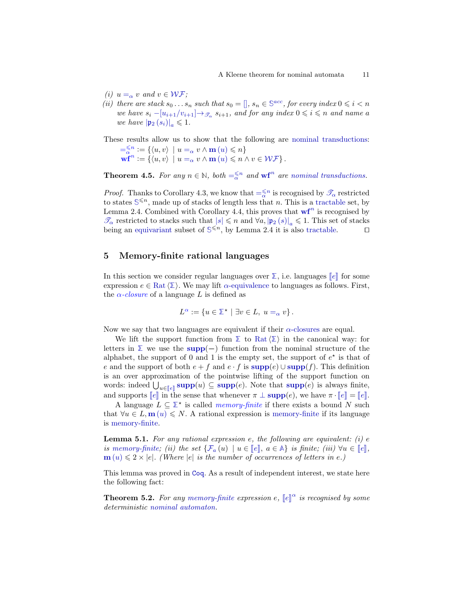- (i)  $u =_{\alpha} v$  $u =_{\alpha} v$  $u =_{\alpha} v$  and  $v \in W \mathcal{F}$ ;
- (ii) there are stack  $s_0 \dots s_n$  such that  $s_0 = []$  $s_0 = []$ ,  $s_n \in \mathbb{S}^{acc}$  $s_n \in \mathbb{S}^{acc}$  $s_n \in \mathbb{S}^{acc}$ , for every index  $0 \leq i < n$ we have  $s_i - [u_{i+1}/v_{i+1}] \rightarrow_{\mathscr{T}_{\alpha}} s_{i+1}$ , and for any index  $0 \leqslant i \leqslant n$  and name a we have  $|\mathfrak{p}_2(s_i)|_a \leq 1$  $|\mathfrak{p}_2(s_i)|_a \leq 1$  $|\mathfrak{p}_2(s_i)|_a \leq 1$ .

<span id="page-10-2"></span>These results allow us to show that the following are [nominal transductions:](#page-5-0)

<span id="page-10-5"></span> $=\xi^{n} := \{ \langle u, v \rangle \mid u =_{\alpha} v \wedge \mathbf{m} (u) \leqslant n \}$  $=\xi^{n} := \{ \langle u, v \rangle \mid u =_{\alpha} v \wedge \mathbf{m} (u) \leqslant n \}$  $=\xi^{n} := \{ \langle u, v \rangle \mid u =_{\alpha} v \wedge \mathbf{m} (u) \leqslant n \}$  $=\xi^{n} := \{ \langle u, v \rangle \mid u =_{\alpha} v \wedge \mathbf{m} (u) \leqslant n \}$  $\mathbf{w} \mathbf{f}^n \coloneqq \{ \langle u, v \rangle \ \ | \ u =_\alpha v \land \mathbf{m} \, (u) \leqslant n \land v \in \mathcal{WF} \} \, .$  $\mathbf{w} \mathbf{f}^n \coloneqq \{ \langle u, v \rangle \ \ | \ u =_\alpha v \land \mathbf{m} \, (u) \leqslant n \land v \in \mathcal{WF} \} \, .$  $\mathbf{w} \mathbf{f}^n \coloneqq \{ \langle u, v \rangle \ \ | \ u =_\alpha v \land \mathbf{m} \, (u) \leqslant n \land v \in \mathcal{WF} \} \, .$  $\mathbf{w} \mathbf{f}^n \coloneqq \{ \langle u, v \rangle \ \ | \ u =_\alpha v \land \mathbf{m} \, (u) \leqslant n \land v \in \mathcal{WF} \} \, .$  $\mathbf{w} \mathbf{f}^n \coloneqq \{ \langle u, v \rangle \ \ | \ u =_\alpha v \land \mathbf{m} \, (u) \leqslant n \land v \in \mathcal{WF} \} \, .$  $\mathbf{w} \mathbf{f}^n \coloneqq \{ \langle u, v \rangle \ \ | \ u =_\alpha v \land \mathbf{m} \, (u) \leqslant n \land v \in \mathcal{WF} \} \, .$  $\mathbf{w} \mathbf{f}^n \coloneqq \{ \langle u, v \rangle \ \ | \ u =_\alpha v \land \mathbf{m} \, (u) \leqslant n \land v \in \mathcal{WF} \} \, .$ 

**Theorem 4.5.** For any  $n \in \mathbb{N}$ , both  $=\frac{\leq n}{\alpha}$  $=\frac{\leq n}{\alpha}$  and  $\mathbf{w} \mathbf{f}^n$  are [nominal transductions.](#page-5-0)

*Proof.* Thanks to Corollary [4.3,](#page-9-3) we know that  $=\alpha^{\leq n}$  $=\alpha^{\leq n}$  is recognised by  $\mathscr{T}_{\alpha}$  $\mathscr{T}_{\alpha}$  $\mathscr{T}_{\alpha}$  restricted to states  $\mathbb{S}^{\leq n}$  $\mathbb{S}^{\leq n}$  $\mathbb{S}^{\leq n}$ , made up of stacks of length less that n. This is a [tractable](#page-3-1) set, by Lemma [2.4.](#page-4-1) Combined with Corollary [4.4,](#page-9-4) this proves that  $\mathbf{w} \mathbf{f}^n$  is recognised by  $\mathcal{T}_{\alpha}$  $\mathcal{T}_{\alpha}$  $\mathcal{T}_{\alpha}$  $\mathcal{T}_{\alpha}$  $\mathcal{T}_{\alpha}$  re[s](#page-2-3)tricted to stacks such that  $|s| \leq n$  and  $\forall a, |\mathfrak{p}_2(s)|_a \leq 1$ . This set of stacks being an equivariant subset of  $\mathbb{S}^{\leq n}$ , by Lemma 2.4 it is also tractable. being an [equivariant](#page-3-1) subset of  $\mathbb{S}^{\leq n}$  $\mathbb{S}^{\leq n}$  $\mathbb{S}^{\leq n}$ , by Lemma [2.4](#page-4-1) it is also [tractable.](#page-3-1)

### <span id="page-10-0"></span>5 Memory-finite rational languages

In this s[e](#page-2-1)ction we consider regular languages over  $\Sigma$ , i.e. languages  $\llbracket e \rrbracket$  for some expression  $e \in \text{Rat} \langle \Sigma \rangle$  $e \in \text{Rat} \langle \Sigma \rangle$  $e \in \text{Rat} \langle \Sigma \rangle$ . We may lift  $\alpha$ [-equivalence](#page-7-0) to languages as follows. First, the  $\alpha$ -closure of a language L is defined as

$$
L^{\alpha} := \{ u \in \mathbb{Z}^{\star} \mid \exists v \in L, u =_{\alpha} v \}.
$$

Now we say that two languages are equivalent if their  $\alpha$ [-closures](#page-10-0) are equal.

We lift the support function from  $\Sigma$  to [Rat](#page-2-1) $\langle \Sigma \rangle$  in the canonical way: for letters in  $\Sigma$  we use the [supp](#page-3-0)(−) function from the nominal structure of the alphabet, the support of 0 and 1 is the empty set, the support of  $e^*$  is that of e and the [supp](#page-3-0)ort of both  $e + f$  and  $e \cdot f$  is  $\text{supp}(e) \cup \text{supp}(f)$ . This definition is an over approximation of the pointwise lifting of the support function on words: ind[e](#page-2-1)ed  $\bigcup_{u \in [\![e]\!]}\text{supp}(u) \subseteq \text{supp}(e)$  $\bigcup_{u \in [\![e]\!]}\text{supp}(u) \subseteq \text{supp}(e)$  $\bigcup_{u \in [\![e]\!]}\text{supp}(u) \subseteq \text{supp}(e)$ . Note that  $\text{supp}(e)$  is always finite, and [supp](#page-3-0)orts  $\llbracket e \rrbracket$  $\llbracket e \rrbracket$  $\llbracket e \rrbracket$  in the sense that whenever  $\pi \perp \text{supp}(e)$ , we have  $\pi \cdot \llbracket e \rrbracket = \llbracket e \rrbracket$ .

<span id="page-10-4"></span><span id="page-10-1"></span>A language  $L \subseteq \mathbb{Z}^*$  is called *memory-finite* if there exists a bound N such that  $\forall u \in L, \mathbf{m}(u) \leq N$  $\forall u \in L, \mathbf{m}(u) \leq N$  $\forall u \in L, \mathbf{m}(u) \leq N$ . A rational expression is [memory-finite](#page-10-1) if its language is [memory-finite.](#page-10-1)

**Lemma 5.1.** For any rational expression  $e$ , the following are equivalent: (i)  $e$ is [memory-finite;](#page-10-1) (ii) th[e](#page-2-1) set  $\{\mathcal{F}_a(u) \mid u \in [e], a \in \mathbb{A}\}\$  $\{\mathcal{F}_a(u) \mid u \in [e], a \in \mathbb{A}\}\$  $\{\mathcal{F}_a(u) \mid u \in [e], a \in \mathbb{A}\}\$  $\{\mathcal{F}_a(u) \mid u \in [e], a \in \mathbb{A}\}\$  $\{\mathcal{F}_a(u) \mid u \in [e], a \in \mathbb{A}\}\$ is finite; (iii)  $\forall u \in [e],$  $\mathbf{m}(u) \leq 2 \times |e|$  $\mathbf{m}(u) \leq 2 \times |e|$  $\mathbf{m}(u) \leq 2 \times |e|$ . (Where |e| is the number of occurrences of letters in e.)

<span id="page-10-3"></span>This lemma was proved in [Coq](https://coq.inria.fr/). As a result of independent interest, we state here the following fact:

**Th[e](#page-2-1)orem 5.2.** For any [memory-finite](#page-10-1) expression e,  $\llbracket e \rrbracket^{\alpha}$  is recognised by some deterministic norminal extension deterministic [nominal automaton.](#page-4-0)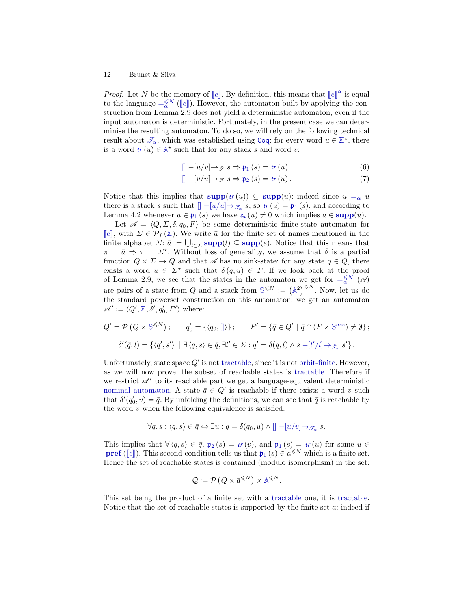*Proof.* L[e](#page-2-1)t N be the memory of  $[\![e]\!]$ . By definition, this means that  $[\![e]\!]^\alpha$  is equal to the language  $\leq^{\leq N}$  ( $[\![e]\!]$ ). However, the automator built by applying the conto th[e](#page-2-1) language  $=\frac{5}{8}N$  $=\frac{5}{8}N$  ([e]). However, the automaton built by applying the con-<br>attuation from Lomma 2.0 does not viold a deterministic automaton, over if the struction from Lemma [2.9](#page-5-1) does not yield a deterministic automaton, even if the input automaton is deterministic. Fortunately, in the present case we can determinise the resulting automaton. To do so, we will rely on the following technical result about  $\mathscr{T}_{\alpha}$  $\mathscr{T}_{\alpha}$  $\mathscr{T}_{\alpha}$ , which was established using [Coq](https://coq.inria.fr/): for every word  $u \in \mathbb{Z}^*$ , there is a word  $tr(u) \in \mathbb{A}^*$  $tr(u) \in \mathbb{A}^*$  $tr(u) \in \mathbb{A}^*$  such that for any stack s and word v:

$$
[]-[u/v]\to_{\mathcal{F}} s \Rightarrow \mathfrak{p}_1(s) = tr(u)
$$
\n(6)

$$
[]-[v/u]\to_{\mathcal{F}} s\Rightarrow \mathfrak{p}_2(s)=tr(u).
$$
\n(7)

Notice that this implies that  $\text{supp}(tr(u)) \subseteq \text{supp}(u)$  $\text{supp}(tr(u)) \subseteq \text{supp}(u)$  $\text{supp}(tr(u)) \subseteq \text{supp}(u)$  $\text{supp}(tr(u)) \subseteq \text{supp}(u)$  $\text{supp}(tr(u)) \subseteq \text{supp}(u)$ : indeed since  $u =_{\alpha} u$  $u =_{\alpha} u$  $u =_{\alpha} u$ there is a stack s such that  $[$  $-[u/u] \rightarrow \mathcal{F}_{\alpha}$  $-[u/u] \rightarrow \mathcal{F}_{\alpha}$  $-[u/u] \rightarrow \mathcal{F}_{\alpha}$  $-[u/u] \rightarrow \mathcal{F}_{\alpha}$  $-[u/u] \rightarrow \mathcal{F}_{\alpha}$  s, so  $tr(u) = \mathfrak{p}_1(s)$  $tr(u) = \mathfrak{p}_1(s)$ , and according to Lemma [4.2](#page-9-2) whenever  $a \in \mathfrak{p}_1(s)$  $a \in \mathfrak{p}_1(s)$  $a \in \mathfrak{p}_1(s)$  we have  $c_a(u) \neq 0$  $c_a(u) \neq 0$  which implies  $a \in \text{supp}(u)$  $a \in \text{supp}(u)$  $a \in \text{supp}(u)$ .

Let  $\mathscr{A} = \langle Q, \Sigma, \delta, q_0, F \rangle$  be some deterministic finite-state automaton for  $\llbracket e \rrbracket$  $\llbracket e \rrbracket$  $\llbracket e \rrbracket$ , with  $\Sigma \in \mathcal{P}_f(\mathbb{Z})$ . We write  $\bar{a}$  for the finite set of names mentioned in the finite alphabet  $\Sigma: \bar{a} := \bigcup_{l \in \Sigma} \text{supp}(l) \subseteq \text{supp}(e)$  $\Sigma: \bar{a} := \bigcup_{l \in \Sigma} \text{supp}(l) \subseteq \text{supp}(e)$  $\Sigma: \bar{a} := \bigcup_{l \in \Sigma} \text{supp}(l) \subseteq \text{supp}(e)$ . Notice that this means that  $\pi \perp \bar{a} \Rightarrow \pi \perp \Sigma^*$ . Without loss of generality, we assume that  $\delta$  is a partial function  $Q \times \Sigma \to Q$  and that  $\mathscr A$  has no sink-state: for any state  $q \in Q$ , there exists a word  $u \in \Sigma^*$  such that  $\delta(q, u) \in F$ . If we look back at the proof of Lemma [2.9,](#page-5-1) we see that the states in the automaton we get for  $=\alpha^{\leq N}$  $=\alpha^{\leq N}$  ( $\mathscr{A}$ ) are pairs of a state from Q and a stack from  $\mathbb{S}^{\leq N} := (\mathbb{A}^2)^{\leq N}$  $\mathbb{S}^{\leq N} := (\mathbb{A}^2)^{\leq N}$  $\mathbb{S}^{\leq N} := (\mathbb{A}^2)^{\leq N}$  $\mathbb{S}^{\leq N} := (\mathbb{A}^2)^{\leq N}$  $\mathbb{S}^{\leq N} := (\mathbb{A}^2)^{\leq N}$ . Now, let us do the standard powerset construction on this automaton: we get an automaton  $\mathscr{A}' \vcentcolon= \langle Q', \Sigma, \delta', q_0', F' \rangle$  where:

$$
Q' = \mathcal{P} \left( Q \times \mathbb{S}^{\leq N} \right); \qquad q'_0 = \{ \langle q_0, [] \rangle \}; \qquad F' = \{ \bar{q} \in Q' \mid \bar{q} \cap (F \times \mathbb{S}^{acc}) \neq \emptyset \} ;
$$

$$
\delta'(\bar{q}, l) = \{ \langle q', s' \rangle \mid \exists \langle q, s \rangle \in \bar{q}, \exists l' \in \Sigma : q' = \delta(q, l) \wedge s - [l'/l] \rightarrow \mathcal{I}_{\alpha} s' \}.
$$

Unfortunately, state space  $Q'$  is not [tractable,](#page-3-1) since it is not [orbit-finite.](#page-3-1) However, as we will now prove, the subset of reachable states is [tractable.](#page-3-1) Therefore if we restrict  $\mathscr{A}'$  to its reachable part we get a language-equivalent deterministic [nominal automaton.](#page-4-0) A state  $\bar{q} \in Q'$  is reachable if there exists a word v such that  $\delta'(q'_0, v) = \bar{q}$ . By unfolding the definitions, we can see that  $\bar{q}$  is reachable by the word  $v$  when the following equivalence is satisfied:

$$
\forall q, s: \langle q, s \rangle \in \bar{q} \Leftrightarrow \exists u: q = \delta(q_0, u) \wedge [] - [u/v] \rightarrow_{\mathscr{T}_{\alpha}} s.
$$

This im[p](#page-8-3)lies that  $\forall \langle q, s \rangle \in \bar{q}$ ,  $\mathfrak{p}_2(s) = tr(v)$  $\mathfrak{p}_2(s) = tr(v)$  $\mathfrak{p}_2(s) = tr(v)$ , and  $\mathfrak{p}_1(s) = tr(u)$  for some  $u \in$ **[pref](#page-2-3)** ( $\llbracket e \rrbracket$  $\llbracket e \rrbracket$  $\llbracket e \rrbracket$ ). This second condition tells us that  $\mathfrak{p}_1(s) \in \bar{a}^{\leq N}$  $\mathfrak{p}_1(s) \in \bar{a}^{\leq N}$  $\mathfrak{p}_1(s) \in \bar{a}^{\leq N}$  which is a finite set.<br>Hence the set of reachable states is contained (module isomorphism) in the set: Hence the set of reachable states is contained (modulo isomorphism) in the set:

$$
\mathcal{Q} := \mathcal{P}\left(Q \times \bar{a}^{\leq N}\right) \times \mathbb{A}^{\leq N}.
$$

This set being the product of a finite set with a [tractable](#page-3-1) one, it is [tractable.](#page-3-1) Notice that the set of reachable states is supported by the finite set  $\bar{a}$ : indeed if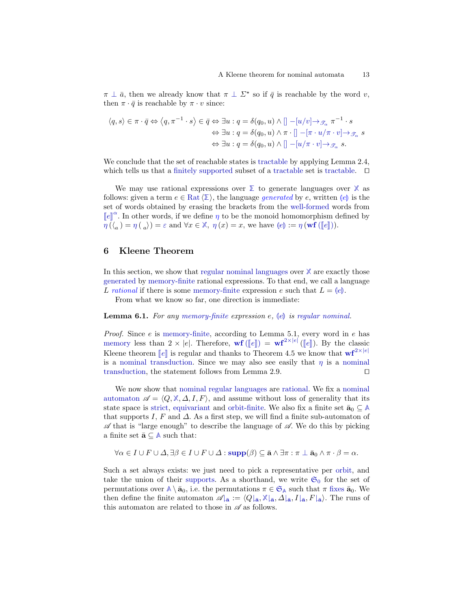$\pi \perp \bar{a}$ , then we already know that  $\pi \perp \Sigma^*$  so if  $\bar{q}$  is reachable by the word v, then  $\pi \cdot \bar{q}$  is reachable by  $\pi \cdot v$  since:

$$
\langle q, s \rangle \in \pi \cdot \bar{q} \Leftrightarrow \langle q, \pi^{-1} \cdot s \rangle \in \bar{q} \Leftrightarrow \exists u : q = \delta(q_0, u) \land [] -[u/v] \rightarrow_{\mathcal{F}_{\alpha}} \pi^{-1} \cdot s
$$

$$
\Leftrightarrow \exists u : q = \delta(q_0, u) \land \pi \cdot [] -[\pi \cdot u/\pi \cdot v] \rightarrow_{\mathcal{F}_{\alpha}} s
$$

$$
\Leftrightarrow \exists u : q = \delta(q_0, u) \land [] -[u/\pi \cdot v] \rightarrow_{\mathcal{F}_{\alpha}} s.
$$

We conclude that the set of reachable states is [tractable](#page-3-1) by applying Lemma [2.4,](#page-4-1) which tells us that a [finitely supported](#page-3-1) subset of a [tractable](#page-3-1) set is [tractable.](#page-3-1)  $\Box$ 

<span id="page-12-0"></span>We may use rational expressions over **[Σ](#page-6-2)** to generate languages over **[X](#page-6-1)** as follows: given a term  $e \in \text{Rat} \langle \Sigma \rangle$  $e \in \text{Rat} \langle \Sigma \rangle$  $e \in \text{Rat} \langle \Sigma \rangle$ , the language *generated* by e, written  $\langle e \rangle$  is the set of words obtained by erasing the brackets from the [well-formed](#page-8-0) words from  $\llbracket e \rrbracket^{\alpha}$  $\llbracket e \rrbracket^{\alpha}$  $\llbracket e \rrbracket^{\alpha}$ . In other words, if we define  $\eta$  to be the monoid homomorphism defined by  $\eta\left(\langle_{a}\right) = \eta\left(\right|_{a}\right) = \varepsilon$  $\eta\left(\langle_{a}\right) = \eta\left(\right|_{a}\right) = \varepsilon$  $\eta\left(\langle_{a}\right) = \eta\left(\right|_{a}\right) = \varepsilon$  and  $\forall x \in \mathbb{X}, \eta(x) = x$  $\forall x \in \mathbb{X}, \eta(x) = x$  $\forall x \in \mathbb{X}, \eta(x) = x$ , we have  $\left(\Vert e \Vert\right) := \eta\left(\mathbf{wf}\left(\mathbf{u}[e]\right)\right)$  $\left(\Vert e \Vert\right) := \eta\left(\mathbf{wf}\left(\mathbf{u}[e]\right)\right)$  $\left(\Vert e \Vert\right) := \eta\left(\mathbf{wf}\left(\mathbf{u}[e]\right)\right)$ .

# <span id="page-12-1"></span>6 Kleene Theorem

<span id="page-12-2"></span>In this section, we show that [regular nominal languages](#page-4-0) over **[X](#page-6-1)** are exactly those [generated](#page-12-0) by [memory-finite](#page-10-1) rational expressions. To that end, we call a language L rational if there is some [memory-finite](#page-10-1) expression e such that  $L = (e)$ .

From what we know so far, one direction is immediate:

#### **Lemma 6.1.** For any [memory-finite](#page-10-1) expression e,  $\{e\}$  is [regular nominal.](#page-4-0)

*Proof.* Since  $e$  is [memory-finite,](#page-10-1) according to Lemma [5.1,](#page-10-4) every word in  $e$  has [memory](#page-7-2) l[e](#page-2-1)ss than  $2 \times |e|$ . Therefore,  $\mathbf{wf}([\lVert e \rVert]) = \mathbf{wf}^{2 \times |e|}([\lVert e \rVert])$  $\mathbf{wf}([\lVert e \rVert]) = \mathbf{wf}^{2 \times |e|}([\lVert e \rVert])$  $\mathbf{wf}([\lVert e \rVert]) = \mathbf{wf}^{2 \times |e|}([\lVert e \rVert])$ . By the classic Kl[e](#page-2-1)ene theorem  $\llbracket e \rrbracket$  is regular and thanks to Theorem [4.5](#page-10-5) we know that  $\mathbf{wf}^{2\times |e|}$  $\mathbf{wf}^{2\times |e|}$  $\mathbf{wf}^{2\times |e|}$ is a [nominal transduction.](#page-5-0) Since we may also see easily that  $\eta$  is a [nominal](#page-5-0) [transduction,](#page-5-0) the statement follows from Lemma [2.9.](#page-5-1)  $\Box$ 

We now show that [nominal regular languages](#page-4-0) are [rational.](#page-12-2) We fix a [nominal](#page-4-0) [automaton](#page-4-0)  $\mathscr{A} = \langle Q, \mathbb{X}, \Delta, I, F \rangle$  $\mathscr{A} = \langle Q, \mathbb{X}, \Delta, I, F \rangle$  $\mathscr{A} = \langle Q, \mathbb{X}, \Delta, I, F \rangle$ , and assume without loss of generality that its state space is [strict,](#page-3-1) [equivariant](#page-3-1) and [orbit-finite.](#page-3-1) We also fix a finite set  $\bar{a}_0 \subset A$  $\bar{a}_0 \subset A$ that supports I, F and  $\Delta$ . As a first step, we will find a finite sub-automaton of  $\mathscr A$  that is "large enough" to describe the language of  $\mathscr A$ . We do this by picking a finite set  $\bar{\mathbf{a}} \subseteq \mathbb{A}$  $\bar{\mathbf{a}} \subseteq \mathbb{A}$  $\bar{\mathbf{a}} \subseteq \mathbb{A}$  such that:

<span id="page-12-3"></span>
$$
\forall \alpha \in I \cup F \cup \Delta, \exists \beta \in I \cup F \cup \Delta : \text{supp}(\beta) \subseteq \bar{\mathbf{a}} \wedge \exists \pi : \pi \perp \bar{\mathbf{a}}_0 \wedge \pi \cdot \beta = \alpha.
$$

Such a set always exists: we just need to pick a representative per [orbit,](#page-3-1) and take the union of their [supports.](#page-3-0) As a shorthand, we write  $\mathfrak{S}_0$  $\mathfrak{S}_0$  $\mathfrak{S}_0$  for the set of permutations over  $\mathbb{A} \setminus \bar{\mathbf{a}}_0$  $\mathbb{A} \setminus \bar{\mathbf{a}}_0$  $\mathbb{A} \setminus \bar{\mathbf{a}}_0$ , i.e. the permutations  $\pi \in \mathfrak{S}_{\mathbb{A}}$  $\pi \in \mathfrak{S}_{\mathbb{A}}$  $\pi \in \mathfrak{S}_{\mathbb{A}}$  such that  $\pi$  [fixes](#page-2-0)  $\bar{\mathbf{a}}_0$ . We then define the finite automaton  $\mathscr{A}_{\bar{a}} := \langle Q \vert_{\bar{a}}, \mathbb{X} \vert_{\bar{a}}, \Delta \vert_{\bar{a}}, I \vert_{\bar{a}}, F \vert_{\bar{a}}\rangle$  $\mathscr{A}_{\bar{a}} := \langle Q \vert_{\bar{a}}, \mathbb{X} \vert_{\bar{a}}, \Delta \vert_{\bar{a}}, I \vert_{\bar{a}}, F \vert_{\bar{a}}\rangle$  $\mathscr{A}_{\bar{a}} := \langle Q \vert_{\bar{a}}, \mathbb{X} \vert_{\bar{a}}, \Delta \vert_{\bar{a}}, I \vert_{\bar{a}}, F \vert_{\bar{a}}\rangle$ . The runs of this automaton are related to those in  $\mathscr A$  as follows.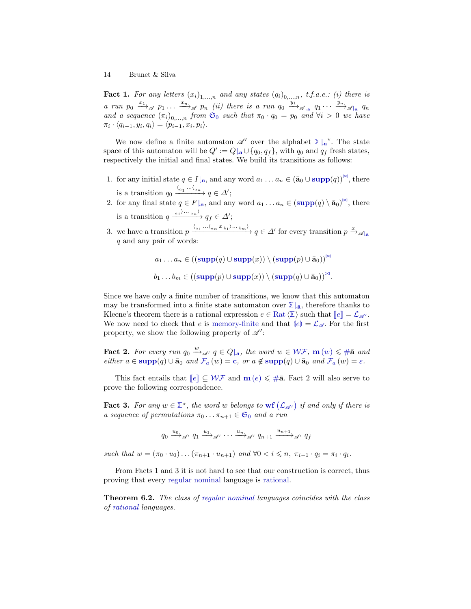<span id="page-13-3"></span><span id="page-13-2"></span>**Fact 1.** For any letters  $(x_i)_{1,\ldots,n}$  and any states  $(q_i)_{0,\ldots,n}$ , t.f.a.e.: (i) there is a run  $p_0 \xrightarrow{x_1} a p_1 \dots \xrightarrow{x_n} a p_n$  (ii) there is a run  $q_0 \xrightarrow{y_1} a q_1 \dots \xrightarrow{y_n} a q_n$ and a sequence  $(\pi_i)_{0,\dots,n}$  from  $\mathfrak{S}_0$  $\mathfrak{S}_0$  $\mathfrak{S}_0$  such that  $\pi_0 \cdot q_0 = p_0$  and  $\forall i > 0$  we have  $\pi_i \cdot \langle q_{i-1}, y_i, q_i \rangle = \langle p_{i-1}, x_i, p_i \rangle.$ 

We now define a finite automaton  $\mathscr{A}'$  over the alphabet  $\mathbb{Z}\left|_{\mathbf{a}}\right.^{\star}$ . The state space of this automaton will be  $Q' := Q|_{\bar{\mathbf{a}}} \cup \{q_0, q_f\}$ , with  $q_0$  and  $q_f$  fresh states, respectively the initial and final states. We build its transitions as follows:

- 1. for any initial state  $q \in I|_{\bar{\mathbf{a}}}$ , and any word  $a_1 \ldots a_n \in (\bar{\mathbf{a}}_0 \cup \text{supp}(q))^{\bowtie}$  $a_1 \ldots a_n \in (\bar{\mathbf{a}}_0 \cup \text{supp}(q))^{\bowtie}$  $a_1 \ldots a_n \in (\bar{\mathbf{a}}_0 \cup \text{supp}(q))^{\bowtie}$ , there is a transition  $q_0 \xrightarrow{\langle a_1 \cdots \langle a_n \rangle} q \in \Delta';$
- 2. for any final state  $q \in F|_{\bar{\mathbf{a}}}$ , and any word  $a_1 \ldots a_n \in (\text{supp}(q) \setminus \bar{\mathbf{a}}_0)^{\bowtie}$  $a_1 \ldots a_n \in (\text{supp}(q) \setminus \bar{\mathbf{a}}_0)^{\bowtie}$  $a_1 \ldots a_n \in (\text{supp}(q) \setminus \bar{\mathbf{a}}_0)^{\bowtie}$ , there is a transition  $q \xrightarrow{a_1 \cdots a_n} q_f \in \Delta';$
- 3. we have a transition  $p \xrightarrow{\langle a_1 \cdots \langle a_n x_{b_1} \rangle \cdots \rangle} q \in \Delta'$  for every transition  $p \xrightarrow{x} \mathcal{A}|_{\mathbf{a}}$ q and any pair of words:

<span id="page-13-0"></span> $a_1 \ldots a_n \in \left( (\text{supp}(q) \cup \text{supp}(x)) \setminus (\text{supp}(p) \cup \bar{a}_0) \right)^{\bowtie}$  $a_1 \ldots a_n \in \left( (\text{supp}(q) \cup \text{supp}(x)) \setminus (\text{supp}(p) \cup \bar{a}_0) \right)^{\bowtie}$  $a_1 \ldots a_n \in \left( (\text{supp}(q) \cup \text{supp}(x)) \setminus (\text{supp}(p) \cup \bar{a}_0) \right)^{\bowtie}$  $b_1 \ldots b_m \in ((\text{supp}(p) \cup \text{supp}(x)) \setminus (\text{supp}(q) \cup \bar{\mathbf{a}}_0))^{\bowtie}.$  $b_1 \ldots b_m \in ((\text{supp}(p) \cup \text{supp}(x)) \setminus (\text{supp}(q) \cup \bar{\mathbf{a}}_0))^{\bowtie}.$  $b_1 \ldots b_m \in ((\text{supp}(p) \cup \text{supp}(x)) \setminus (\text{supp}(q) \cup \bar{\mathbf{a}}_0))^{\bowtie}.$ 

Since we have only a finite number of transitions, we know that this automaton may be transformed into a finite state automaton over  $\sum_{\mathbf{a}}$ , therefore thanks to Kl[e](#page-2-1)ene's theorem there is a rational expression  $e \in \text{Rat} \langle \Sigma \rangle$  $e \in \text{Rat} \langle \Sigma \rangle$  $e \in \text{Rat} \langle \Sigma \rangle$  such that  $||e|| = \mathcal{L}_{\mathscr{A}}$  $||e|| = \mathcal{L}_{\mathscr{A}}$  $||e|| = \mathcal{L}_{\mathscr{A}}$ . We now need to check that e is [memory-finite](#page-10-1) and that  $\langle e \rangle = \mathcal{L}_{\mathscr{A}}$  $\langle e \rangle = \mathcal{L}_{\mathscr{A}}$  $\langle e \rangle = \mathcal{L}_{\mathscr{A}}$ . For the first property, we show the following property of  $\mathscr{A}'$ :

**Fact 2.** For every run  $q_0 \stackrel{w}{\rightarrow}_{\mathscr{A}} q \in Q|_{\bar{\mathbf{a}}}$  $q_0 \stackrel{w}{\rightarrow}_{\mathscr{A}} q \in Q|_{\bar{\mathbf{a}}}$  $q_0 \stackrel{w}{\rightarrow}_{\mathscr{A}} q \in Q|_{\bar{\mathbf{a}}}$ , the word  $w \in \mathcal{WF}$  $w \in \mathcal{WF}$  $w \in \mathcal{WF}$ ,  $\mathbf{m}(w) \leq \#\bar{\mathbf{a}}$  $\mathbf{m}(w) \leq \#\bar{\mathbf{a}}$  $\mathbf{m}(w) \leq \#\bar{\mathbf{a}}$  and either  $a \in \text{supp}(q) \cup \bar{a}_0$  $a \in \text{supp}(q) \cup \bar{a}_0$  $a \in \text{supp}(q) \cup \bar{a}_0$  $a \in \text{supp}(q) \cup \bar{a}_0$  $a \in \text{supp}(q) \cup \bar{a}_0$  and  $\mathcal{F}_a(w) = c$  $\mathcal{F}_a(w) = c$  $\mathcal{F}_a(w) = c$ , or  $a \notin \text{supp}(q) \cup \bar{a}_0$  and  $\mathcal{F}_a(w) = \varepsilon$ .

This fact [e](#page-2-1)ntails that  $\llbracket e \rrbracket \subseteq \mathcal{WF}$  $\llbracket e \rrbracket \subseteq \mathcal{WF}$  $\llbracket e \rrbracket \subseteq \mathcal{WF}$  and  $\mathbf{m}(e) \leq \# \bar{\mathbf{a}}$  $\mathbf{m}(e) \leq \# \bar{\mathbf{a}}$  $\mathbf{m}(e) \leq \# \bar{\mathbf{a}}$  $\mathbf{m}(e) \leq \# \bar{\mathbf{a}}$  $\mathbf{m}(e) \leq \# \bar{\mathbf{a}}$ . Fact [2](#page-13-0) will also serve to prove the following correspondence.

**Fact 3.** For any  $w \in \mathbb{Z}^*$ , the word w belongs to  $\textbf{wf}(\mathcal{L}_{\mathscr{A}})$  $\textbf{wf}(\mathcal{L}_{\mathscr{A}})$  $\textbf{wf}(\mathcal{L}_{\mathscr{A}})$  $\textbf{wf}(\mathcal{L}_{\mathscr{A}})$  $\textbf{wf}(\mathcal{L}_{\mathscr{A}})$  if and only if there is a sequence of permutations  $\pi_0 \dots \pi_{n+1} \in \mathfrak{S}_0$  $\pi_0 \dots \pi_{n+1} \in \mathfrak{S}_0$  $\pi_0 \dots \pi_{n+1} \in \mathfrak{S}_0$  and a run

<span id="page-13-1"></span>
$$
q_0 \xrightarrow{u_0} \mathcal{A}' \ q_1 \xrightarrow{u_1} \mathcal{A}' \cdots \xrightarrow{u_n} \mathcal{A}' \ q_{n+1} \xrightarrow{u_{n+1}} \mathcal{A}' \ q_f
$$

such that  $w = (\pi_0 \cdot u_0) \dots (\pi_{n+1} \cdot u_{n+1})$  and  $\forall 0 < i \leq n, \pi_{i-1} \cdot q_i = \pi_i \cdot q_i$ .

From Facts [1](#page-12-3) and [3](#page-13-1) it is not hard to see that our construction is correct, thus proving that every [regular nominal](#page-4-0) language is [rational.](#page-12-2)

Theorem 6.2. The class of [regular nominal](#page-4-0) languages coincides with the class of [rational](#page-12-2) languages.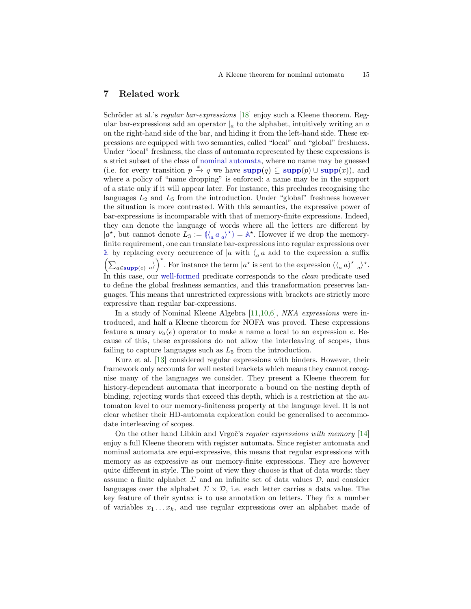### <span id="page-14-0"></span>7 Related work

Schröder at al.'s regular bar-expressions [\[18\]](#page-16-9) enjoy such a Kleene theorem. Regular bar-expressions add an operator  $\vert_a$  to the alphabet, intuitively writing an a on the right-hand side of the bar, and hiding it from the left-hand side. These expressions are equipped with two semantics, called "local" and "global" freshness. Under "local" freshness, the class of automata represented by these expressions is a strict subset of the class of [nominal automata,](#page-4-0) where no name may be guessed (i.e. for every transition  $p \stackrel{x}{\to} q$  we have  $\text{supp}(q) \subseteq \text{supp}(p) \cup \text{supp}(x)$  $\text{supp}(q) \subseteq \text{supp}(p) \cup \text{supp}(x)$  $\text{supp}(q) \subseteq \text{supp}(p) \cup \text{supp}(x)$ ), and where a policy of "name dropping" is enforced: a name may be in the support of a state only if it will appear later. For instance, this precludes recognising the languages  $L_2$  and  $L_5$  from the introduction. Under "global" freshness however the situation is more contrasted. With this semantics, the expressive power of bar-expressions is incomparable with that of memory-finite expressions. Indeed, they can denote the language of words where all the letters are different by  $|a^*|$ , but cannot denote  $L_3 := (\langle a \ a \ a^* \rangle^*) = \mathbb{A}^*$  $L_3 := (\langle a \ a \ a^* \rangle^*) = \mathbb{A}^*$  $L_3 := (\langle a \ a \ a^* \rangle^*) = \mathbb{A}^*$ . However if we drop the memory-<br>finite requirement, one can translate har expressions into regular expressions exerfinite requirement, one can translate bar-expressions into regular expressions over **[Σ](#page-6-2)** by replacing every occurrence of |a with  $\langle a \mid a$  add to the expression a suffix  $\left(\sum_{a \in \text{supp}(e)} a\right)^*$  $\left(\sum_{a \in \text{supp}(e)} a\right)^*$  $\left(\sum_{a \in \text{supp}(e)} a\right)^*$ . For instance the term  $|a^*|$  is sent to the expression  $(\langle a a \rangle^* a)^*$ . In this case, our [well-formed](#page-8-0) predicate corresponds to the *clean* predicate used to define the global freshness semantics, and this transformation preserves languages. This means that unrestricted expressions with brackets are strictly more expressive than regular bar-expressions.

In a study of Nominal Kleene Algebra [\[11,](#page-16-8)[10,](#page-16-16)[6\]](#page-16-17), NKA expressions were introduced, and half a Kleene theorem for NOFA was proved. These expressions feature a unary  $\nu_a(e)$  operator to make a name a local to an expression e. Because of this, these expressions do not allow the interleaving of scopes, thus failing to capture languages such as  $L_5$  $L_5$  from the introduction.

Kurz et al. [\[13\]](#page-16-18) considered regular expressions with binders. However, their framework only accounts for well nested brackets which means they cannot recognise many of the languages we consider. They present a Kleene theorem for history-dependent automata that incorporate a bound on the nesting depth of binding, rejecting words that exceed this depth, which is a restriction at the automaton level to our memory-finiteness property at the language level. It is not clear whether their HD-automata exploration could be generalised to accommodate interleaving of scopes.

On the other hand Libkin and Vrgoč's regular expressions with memory  $[14]$ enjoy a full Kleene theorem with register automata. Since register automata and nominal automata are equi-expressive, this means that regular expressions with memory as as expressive as our memory-finite expressions. They are however quite different in style. The point of view they choose is that of data words: they assume a finite alphabet  $\Sigma$  and an infinite set of data values  $\mathcal{D}$ , and consider languages over the alphabet  $\Sigma \times \mathcal{D}$ , i.e. each letter carries a data value. The key feature of their syntax is to use annotation on letters. They fix a number of variables  $x_1 \ldots x_k$ , and use regular expressions over an alphabet made of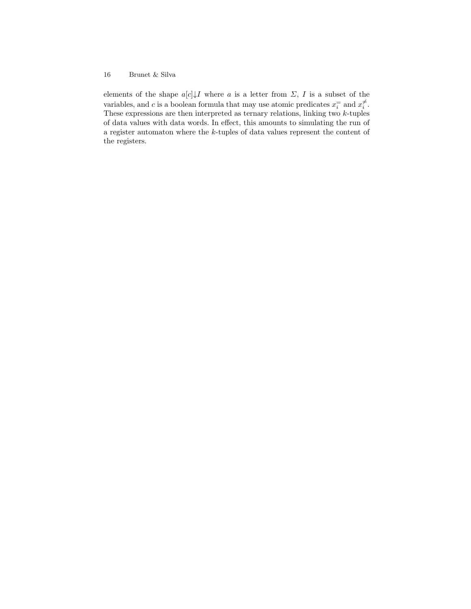elements of the shape  $a[c]{\downarrow}I$  where  $a$  is a letter from  $\Sigma$ ,  $I$  is a subset of the variables, and c is a boolean formula that may use atomic predicates  $x_i^=$  and  $x_i^{\neq}$ . These expressions are then interpreted as ternary relations, linking two  $k$ -tuples of data values with data words. In effect, this amounts to simulating the run of a register automaton where the k-tuples of data values represent the content of the registers.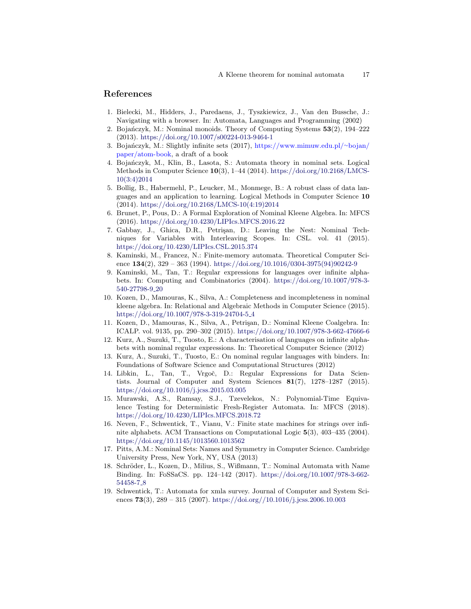# References

- <span id="page-16-2"></span>1. Bielecki, M., Hidders, J., Paredaens, J., Tyszkiewicz, J., Van den Bussche, J.: Navigating with a browser. In: Automata, Languages and Programming (2002)
- <span id="page-16-12"></span>2. Bojańczyk, M.: Nominal monoids. Theory of Computing Systems  $53(2)$ , 194–222 (2013). <https://doi.org/10.1007/s00224-013-9464-1>
- <span id="page-16-13"></span>3. Bojańczyk, M.: Slightly infinite sets (2017), [https://www.mimuw.edu.pl/](https://www.mimuw.edu.pl/~bojan/paper/atom-book)∼bojan/ [paper/atom-book,](https://www.mimuw.edu.pl/~bojan/paper/atom-book) a draft of a book
- <span id="page-16-4"></span>4. Bojańczyk, M., Klin, B., Lasota, S.: Automata theory in nominal sets. Logical Methods in Computer Science 10(3), 1–44 (2014). [https://doi.org/10.2168/LMCS-](https://doi.org/10.2168/LMCS-10(3:4)2014)[10\(3:4\)2014](https://doi.org/10.2168/LMCS-10(3:4)2014)
- <span id="page-16-3"></span>5. Bollig, B., Habermehl, P., Leucker, M., Monmege, B.: A robust class of data languages and an application to learning. Logical Methods in Computer Science 10 (2014). [https://doi.org/10.2168/LMCS-10\(4:19\)2014](https://doi.org/10.2168/LMCS-10(4:19)2014)
- <span id="page-16-17"></span>6. Brunet, P., Pous, D.: A Formal Exploration of Nominal Kleene Algebra. In: MFCS (2016). <https://doi.org/10.4230/LIPIcs.MFCS.2016.22>
- <span id="page-16-15"></span>7. Gabbay, J., Ghica, D.R., Petrişan, D.: Leaving the Nest: Nominal Techniques for Variables with Interleaving Scopes. In: CSL. vol. 41 (2015). <https://doi.org/10.4230/LIPIcs.CSL.2015.374>
- <span id="page-16-0"></span>8. Kaminski, M., Francez, N.: Finite-memory automata. Theoretical Computer Science  $134(2)$ ,  $329 - 363$  (1994). [https://doi.org/10.1016/0304-3975\(94\)90242-9](https://doi.org/10.1016/0304-3975(94)90242-9)
- <span id="page-16-6"></span>9. Kaminski, M., Tan, T.: Regular expressions for languages over infinite alphabets. In: Computing and Combinatorics (2004). [https://doi.org/10.1007/978-3-](https://doi.org/10.1007/978-3-540-27798-9_20) [540-27798-9](https://doi.org/10.1007/978-3-540-27798-9_20) 20
- <span id="page-16-16"></span>10. Kozen, D., Mamouras, K., Silva, A.: Completeness and incompleteness in nominal kleene algebra. In: Relational and Algebraic Methods in Computer Science (2015). [https://doi.org/10.1007/978-3-319-24704-5](https://doi.org/10.1007/978-3-319-24704-5_4) 4
- <span id="page-16-8"></span>11. Kozen, D., Mamouras, K., Silva, A., Petrisan, D.: Nominal Kleene Coalgebra. In: ICALP. vol. 9135, pp. 290–302 (2015). <https://doi.org/10.1007/978-3-662-47666-6>
- <span id="page-16-7"></span>12. Kurz, A., Suzuki, T., Tuosto, E.: A characterisation of languages on infinite alphabets with nominal regular expressions. In: Theoretical Computer Science (2012)
- <span id="page-16-18"></span>13. Kurz, A., Suzuki, T., Tuosto, E.: On nominal regular languages with binders. In: Foundations of Software Science and Computational Structures (2012)
- <span id="page-16-10"></span>14. Libkin, L., Tan, T., Vrgoč, D.: Regular Expressions for Data Scientists. Journal of Computer and System Sciences 81(7), 1278–1287 (2015). <https://doi.org/10.1016/j.jcss.2015.03.005>
- <span id="page-16-14"></span>15. Murawski, A.S., Ramsay, S.J., Tzevelekos, N.: Polynomial-Time Equivalence Testing for Deterministic Fresh-Register Automata. In: MFCS (2018). <https://doi.org/10.4230/LIPIcs.MFCS.2018.72>
- <span id="page-16-5"></span>16. Neven, F., Schwentick, T., Vianu, V.: Finite state machines for strings over infinite alphabets. ACM Transactions on Computational Logic 5(3), 403–435 (2004). <https://doi.org/10.1145/1013560.1013562>
- <span id="page-16-11"></span>17. Pitts, A.M.: Nominal Sets: Names and Symmetry in Computer Science. Cambridge University Press, New York, NY, USA (2013)
- <span id="page-16-9"></span>18. Schröder, L., Kozen, D., Milius, S., Wißmann, T.: Nominal Automata with Name Binding. In: FoSSaCS. pp. 124–142 (2017). [https://doi.org/10.1007/978-3-662-](https://doi.org/10.1007/978-3-662-54458-7_8) [54458-7](https://doi.org/10.1007/978-3-662-54458-7_8) 8
- <span id="page-16-1"></span>19. Schwentick, T.: Automata for xmla survey. Journal of Computer and System Sciences 73(3),  $289 - 315$  (2007). <https://doi.org//10.1016/j.jcss.2006.10.003>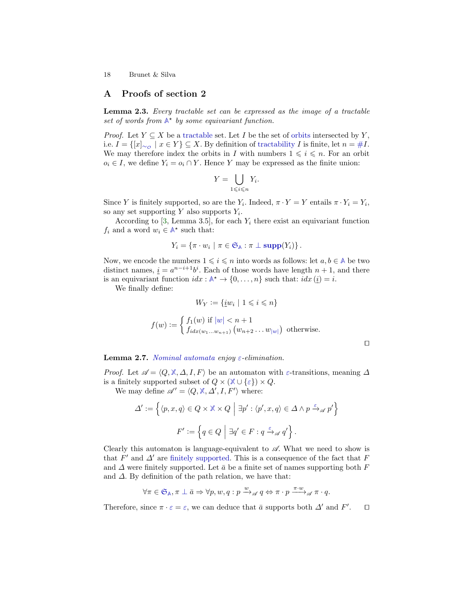# A Proofs of section [2](#page-2-2)

Lemma 2.3. Every tractable set can be expressed as the image of a tractable set of words from  $A^*$  $A^*$  by some equivariant function.

*Proof.* Let  $Y \subseteq X$  be a [tractable](#page-3-1) set. Let I be the set of [orbits](#page-3-1) intersected by Y, i.e.  $I = \{ [x]_{\sim \phi} \mid x \in Y \}$  ⊆ X. By definition of [tractability](#page-3-1) I is finite, let  $n = \#I$  $n = \#I$  $n = \#I$ . We may therefore index the orbits in I with numbers  $1 \leq i \leq n$ . For an orbit  $o_i \in I$ , we define  $Y_i = o_i \cap Y$ . Hence Y may be expressed as the finite union:

$$
Y = \bigcup_{1 \leq i \leq n} Y_i.
$$

Since Y is finitely supported, so are the  $Y_i$ . Indeed,  $\pi \cdot Y = Y$  entails  $\pi \cdot Y_i = Y_i$ , so any set supporting Y also supports  $Y_i$ .

According to [\[3,](#page-16-13) Lemma 3.5], for each  $Y_i$  there exist an equivariant function  $f_i$  and a word  $w_i \in \mathbb{A}^*$  $w_i \in \mathbb{A}^*$  $w_i \in \mathbb{A}^*$  such that:

$$
Y_i = \{ \pi \cdot w_i \mid \pi \in \mathfrak{S}_{\mathbb{A}} : \pi \perp \text{supp}(Y_i) \}.
$$

Now, we encode the numbers  $1 \leq i \leq n$  into words as follows: let  $a, b \in A$  $a, b \in A$  be two distinct names,  $\underline{i} = a^{n-i+1}b^i$ . Each of those words have length  $n+1$ , and there is an equivariant function  $idx : \mathbb{A}^* \to \{0, \ldots, n\}$  $idx : \mathbb{A}^* \to \{0, \ldots, n\}$  $idx : \mathbb{A}^* \to \{0, \ldots, n\}$  such that:  $idx(i) = i$ .

We finally define:

$$
W_Y := \{ \underline{i}w_i \mid 1 \leq i \leq n \}
$$

$$
f(w) := \begin{cases} f_1(w) & \text{if } |w| < n+1 \\ f_{idx(w_1...w_{n+1})} (w_{n+2} \dots w_{|w|}) & \text{otherwise.} \end{cases}
$$

 $\Box$ 

#### **Lemma 2.7.** [Nominal automata](#page-4-0) enjoy [ε](#page-2-3)-elimination.

*Proof.* Let  $\mathscr{A} = \langle Q, \mathbb{X}, \Delta, I, F \rangle$  $\mathscr{A} = \langle Q, \mathbb{X}, \Delta, I, F \rangle$  $\mathscr{A} = \langle Q, \mathbb{X}, \Delta, I, F \rangle$  be an automaton with  $\varepsilon$ -transitions, meaning  $\Delta$ is a finitely supported subset of  $Q \times (\mathbb{X} \cup {\varepsilon}) \times Q$  $Q \times (\mathbb{X} \cup {\varepsilon}) \times Q$  $Q \times (\mathbb{X} \cup {\varepsilon}) \times Q$ .

We may define  $\mathscr{A}' = \langle Q, \mathbb{X}, \Delta', I, F' \rangle$  $\mathscr{A}' = \langle Q, \mathbb{X}, \Delta', I, F' \rangle$  $\mathscr{A}' = \langle Q, \mathbb{X}, \Delta', I, F' \rangle$  where:

$$
\Delta' := \left\{ \langle p, x, q \rangle \in Q \times \mathbb{X} \times Q \mid \exists p' : \langle p', x, q \rangle \in \Delta \land p \xrightarrow{\varepsilon} \mathscr{A} p' \right\}
$$

$$
F' := \left\{ q \in Q \mid \exists q' \in F : q \xrightarrow{\varepsilon} \mathscr{A} q' \right\}.
$$

Clearly this automaton is language-equivalent to  $\mathscr A$ . What we need to show is that  $F'$  and  $\Delta'$  are [finitely supported.](#page-3-1) This is a consequence of the fact that  $F$ and  $\Delta$  were finitely supported. Let  $\bar{a}$  be a finite set of names supporting both F and  $\Delta$ . By definition of the path relation, we have that:

$$
\forall \pi \in \mathfrak{S}_{\mathbb{A}}, \pi \perp \bar{a} \Rightarrow \forall p, w, q: p \xrightarrow{w}_{\mathscr{A}} q \Leftrightarrow \pi \cdot p \xrightarrow{\pi \cdot w}_{\mathscr{A}} \pi \cdot q.
$$

Therefore, since  $\pi \cdot \varepsilon = \varepsilon$ , we can deduce that  $\bar{a}$  supports both  $\Delta'$  and  $F'$  $\Box$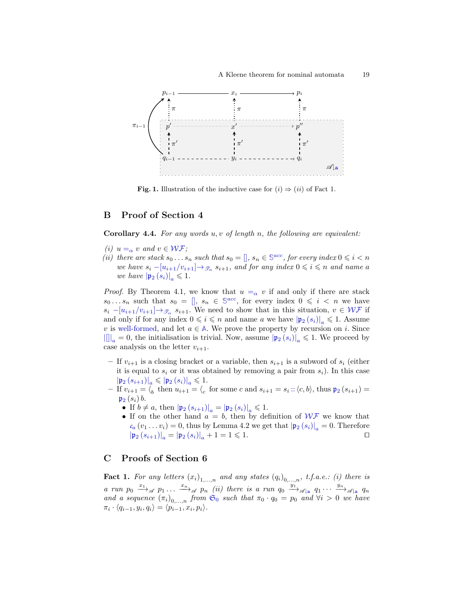

<span id="page-18-0"></span>**Fig. [1.](#page-12-3)** Illustration of the inductive case for  $(i) \Rightarrow (ii)$  $(i) \Rightarrow (ii)$  $(i) \Rightarrow (ii)$  $(i) \Rightarrow (ii)$  of Fact 1.

### B Proof of Section [4](#page-8-1)

**Corollary 4.4.** For any words  $u, v$  of length n, the following are equivalent:

- (i)  $u = \alpha v$  $u = \alpha v$  $u = \alpha v$  and  $v \in \mathcal{WF};$  $v \in \mathcal{WF};$  $v \in \mathcal{WF};$
- (ii) there are stack  $s_0 \dots s_n$  such that  $s_0 = []$  $s_0 = []$ ,  $s_n \in \mathbb{S}^{acc}$  $s_n \in \mathbb{S}^{acc}$  $s_n \in \mathbb{S}^{acc}$ , for every index  $0 \leq i < n$ we have  $s_i - [u_{i+1}/v_{i+1}] \rightarrow_{\mathscr{T}_{\alpha}} s_{i+1}$ , and for any index  $0 \leqslant i \leqslant n$  and name a we have  $|\mathfrak{p}_2(s_i)|_a \leq 1$  $|\mathfrak{p}_2(s_i)|_a \leq 1$  $|\mathfrak{p}_2(s_i)|_a \leq 1$ .

*Proof.* By Theorem [4.1,](#page-9-5) we know that  $u =_{\alpha} v$  $u =_{\alpha} v$  $u =_{\alpha} v$  if and only if there are stack  $s_0 \dots s_n$  such that  $s_0 = []$ ,  $s_n \in \mathbb{S}^{acc}$  $s_n \in \mathbb{S}^{acc}$  $s_n \in \mathbb{S}^{acc}$ , for every index  $0 \leq i \leq n$  we have  $s_i - [u_{i+1}/v_{i+1}] \rightarrow_{\mathcal{T}_{\alpha}} s_{i+1}$ . We need to show that in this situation,  $v \in \mathcal{WF}$  $v \in \mathcal{WF}$  $v \in \mathcal{WF}$  if and only if for any index  $0 \leq i \leq n$  and name a we have  $|\mathfrak{p}_2(s_i)|_a \leq 1$  $|\mathfrak{p}_2(s_i)|_a \leq 1$  $|\mathfrak{p}_2(s_i)|_a \leq 1$ . Assume v is [well-formed,](#page-8-0) and let  $a \in A$  $a \in A$ . We prove the property by recursion on i. Since  $||\textbf{f}||_a = 0$ , the initialisation is trivial. Now, assume  $|\textbf{p}_2(s_i)|_a \leq 1$  $|\textbf{p}_2(s_i)|_a \leq 1$  $|\textbf{p}_2(s_i)|_a \leq 1$ . We proceed by case analysis on the letter  $v_{i+1}$ .

- If  $v_{i+1}$  is a closing bracket or a variable, then  $s_{i+1}$  is a subword of  $s_i$  (either it is equal to  $s_i$  or it was obtained by removing a pair from  $s_i$ ). In this case  $\left|\mathfrak{p}_{2}\left(s_{i+1}\right)\right|_{a}\leqslant\left|\mathfrak{p}_{2}\left(s_{i}\right)\right|_{a}\leqslant1.$  $\left|\mathfrak{p}_{2}\left(s_{i+1}\right)\right|_{a}\leqslant\left|\mathfrak{p}_{2}\left(s_{i}\right)\right|_{a}\leqslant1.$  $\left|\mathfrak{p}_{2}\left(s_{i+1}\right)\right|_{a}\leqslant\left|\mathfrak{p}_{2}\left(s_{i}\right)\right|_{a}\leqslant1.$  $\left|\mathfrak{p}_{2}\left(s_{i+1}\right)\right|_{a}\leqslant\left|\mathfrak{p}_{2}\left(s_{i}\right)\right|_{a}\leqslant1.$  $\left|\mathfrak{p}_{2}\left(s_{i+1}\right)\right|_{a}\leqslant\left|\mathfrak{p}_{2}\left(s_{i}\right)\right|_{a}\leqslant1.$
- If  $v_{i+1} = \langle b \rangle$  then  $u_{i+1} = \langle c \rangle$  for some c and  $s_{i+1} = s_i$ :  $\langle c, b \rangle$ , thus  $\mathfrak{p}_2(s_{i+1}) =$  $\mathfrak{p}_2(s_{i+1}) =$  $\mathfrak{p}_2(s_{i+1}) =$  $\mathfrak{p}_2(s_i)$  $\mathfrak{p}_2(s_i)$  $\mathfrak{p}_2(s_i)$  b.
	- If  $b \neq a$ , then  $|\mathfrak{p}_2(s_{i+1})|_a = |\mathfrak{p}_2(s_i)|_a \leq 1$  $|\mathfrak{p}_2(s_{i+1})|_a = |\mathfrak{p}_2(s_i)|_a \leq 1$  $|\mathfrak{p}_2(s_{i+1})|_a = |\mathfrak{p}_2(s_i)|_a \leq 1$  $|\mathfrak{p}_2(s_{i+1})|_a = |\mathfrak{p}_2(s_i)|_a \leq 1$  $|\mathfrak{p}_2(s_{i+1})|_a = |\mathfrak{p}_2(s_i)|_a \leq 1$ .
	- If on the other hand  $a = b$ , then by definition of  $W\mathcal{F}$  we know that  $c_a (v_1 \dots v_i) = 0$  $c_a (v_1 \dots v_i) = 0$ , thus by Lemma [4.2](#page-9-2) we get that  $|\mathfrak{p}_2(s_i)|_a = 0$  $|\mathfrak{p}_2(s_i)|_a = 0$  $|\mathfrak{p}_2(s_i)|_a = 0$ . Therefore  $|\mathfrak{p}_2(s_{i+1})|_a = |\mathfrak{p}_2(s_i)|_a + 1 = 1 \leq 1$ .  $|\mathfrak{p}_2(s_{i+1})|_a = |\mathfrak{p}_2(s_i)|_a + 1 = 1 \leq 1.$  $|\mathfrak{p}_2(s_{i+1})|_a = |\mathfrak{p}_2(s_i)|_a + 1 = 1 \leq 1.$  $|\mathfrak{p}_2(s_{i+1})|_a = |\mathfrak{p}_2(s_i)|_a + 1 = 1 \leq 1.$  $|\mathfrak{p}_2(s_{i+1})|_a = |\mathfrak{p}_2(s_i)|_a + 1 = 1 \leq 1.$  $|\mathfrak{p}_2(s_{i+1})|_a = |\mathfrak{p}_2(s_i)|_a + 1 = 1 \leq 1.$

# C Proofs of Section [6](#page-12-1)

**Fact 1.** For any letters  $(x_i)_{1,\ldots,n}$  and any states  $(q_i)_{0,\ldots,n}$ , t.f.a.e.: (i) there is a run  $p_0 \xrightarrow{x_1} a p_1 \dots x_n$   $q_n$  (ii) there is a run  $q_0 \xrightarrow{y_1} a q_1 \dots y_n$   $q_{\vert a}$   $q_n$ and a sequence  $(\pi_i)_{0,\dots,n}$  from  $\mathfrak{S}_0$  $\mathfrak{S}_0$  $\mathfrak{S}_0$  such that  $\pi_0 \cdot q_0 = p_0$  and  $\forall i > 0$  we have  $\pi_i \cdot \langle q_{i-1}, y_i, q_i \rangle = \langle p_{i-1}, x_i, p_i \rangle.$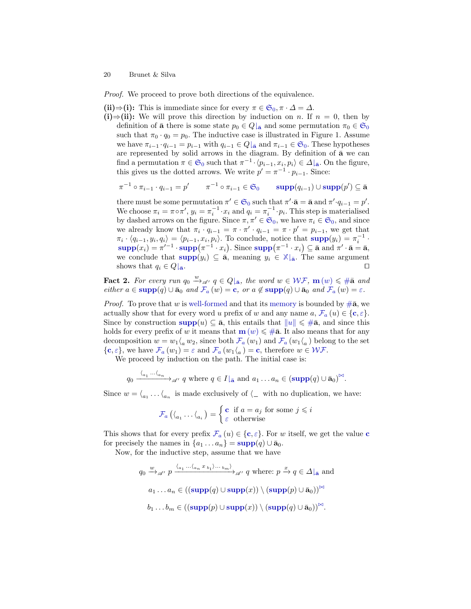*Proof.* We proceed to prove both directions of the equivalence.

[\(ii\)](#page-13-3)⇒[\(i\):](#page-13-2) This is immediate since for every  $\pi \in \mathfrak{S}_0, \pi \cdot \Delta = \Delta$  $\pi \in \mathfrak{S}_0, \pi \cdot \Delta = \Delta$  $\pi \in \mathfrak{S}_0, \pi \cdot \Delta = \Delta$ .

[\(i\)](#page-13-2)⇒[\(ii\):](#page-13-3) We will prove this direction by induction on n. If  $n = 0$ , then by definition of  $\bar{a}$  there is some state  $p_0 \in Q_{\bar{a}}$  and some permutation  $\pi_0 \in \mathfrak{S}_0$  $\pi_0 \in \mathfrak{S}_0$  $\pi_0 \in \mathfrak{S}_0$ such that  $\pi_0 \cdot q_0 = p_0$ . The inductive case is illustrated in Figure [1.](#page-18-0) Assume we have  $\pi_{i-1} \cdot q_{i-1} = p_{i-1}$  with  $q_{i-1} \in Q|_{\bar{a}}$  and  $\pi_{i-1} \in \mathfrak{S}_0$  $\pi_{i-1} \in \mathfrak{S}_0$  $\pi_{i-1} \in \mathfrak{S}_0$ . These hypotheses are represented by solid arrows in the diagram. By definition of  $\bar{a}$  we can find a permutation  $\pi \in \mathfrak{S}_0$  $\pi \in \mathfrak{S}_0$  $\pi \in \mathfrak{S}_0$  such that  $\pi^{-1} \cdot \langle p_{i-1}, x_i, p_i \rangle \in \Delta |_{\mathbf{\bar{a}}}$ . On the figure, this gives us the dotted arrows. We write  $p' = \pi^{-1} \cdot p_{i-1}$ . Since:

$$
\pi^{-1} \circ \pi_{i-1} \cdot q_{i-1} = p' \qquad \pi^{-1} \circ \pi_{i-1} \in \mathfrak{S}_0 \qquad \text{supp}(q_{i-1}) \cup \text{supp}(p') \subseteq \bar{\mathbf{a}}
$$

there must be some permutation  $\pi' \in \mathfrak{S}_0$  $\pi' \in \mathfrak{S}_0$  $\pi' \in \mathfrak{S}_0$  such that  $\pi' \cdot \bar{\mathbf{a}} = \bar{\mathbf{a}}$  and  $\pi' \cdot q_{i-1} = p'$ . We choose  $\pi_i = \pi \circ \pi', y_i = \pi_i^{-1} \cdot x_i$  and  $q_i = \pi_i^{-1} \cdot p_i$ . This step is materialised by dashed arrows on the figure. [S](#page-2-0)ince  $\pi, \pi' \in \mathfrak{S}_0$ , we have  $\pi_i \in \mathfrak{S}_0$ , and since we already know that  $\pi_i \cdot q_{i-1} = \pi \cdot \pi' \cdot q_{i-1} = \pi \cdot p' = p_{i-1}$ , we get that  $\pi_i \cdot \langle q_{i-1}, y_i, q_i \rangle = \langle p_{i-1}, x_i, p_i \rangle$ . To conclude, notice that  $\text{supp}(y_i) = \pi_i^{-1}$  $\text{supp}(y_i) = \pi_i^{-1}$  $\text{supp}(y_i) = \pi_i^{-1}$ .  $\text{supp}(x_i) = \pi'^{-1} \cdot \text{supp}(\pi^{-1} \cdot x_i)$  $\text{supp}(x_i) = \pi'^{-1} \cdot \text{supp}(\pi^{-1} \cdot x_i)$  $\text{supp}(x_i) = \pi'^{-1} \cdot \text{supp}(\pi^{-1} \cdot x_i)$ . Since  $\text{supp}(\pi^{-1} \cdot x_i) \subseteq \bar{\mathbf{a}}$  and  $\pi' \cdot \bar{\mathbf{a}} = \bar{\mathbf{a}}$ , we conclude that  $\text{supp}(y_i) \subseteq \overline{\mathbf{a}}$  $\text{supp}(y_i) \subseteq \overline{\mathbf{a}}$  $\text{supp}(y_i) \subseteq \overline{\mathbf{a}}$ , meaning  $y_i \in \mathbb{X} | \overline{\mathbf{a}}$  $y_i \in \mathbb{X} | \overline{\mathbf{a}}$  $y_i \in \mathbb{X} | \overline{\mathbf{a}}$ . The same argument shows that  $q_i \in Q|_{\bar{\mathbf{a}}}$ .

**Fact 2.** For every run  $q_0 \stackrel{w}{\rightarrow}_{\mathscr{A}} q \in Q|_{\bar{\mathbf{a}}}$  $q_0 \stackrel{w}{\rightarrow}_{\mathscr{A}} q \in Q|_{\bar{\mathbf{a}}}$  $q_0 \stackrel{w}{\rightarrow}_{\mathscr{A}} q \in Q|_{\bar{\mathbf{a}}}$ , the word  $w \in \mathcal{WF}$  $w \in \mathcal{WF}$  $w \in \mathcal{WF}$ ,  $\mathbf{m}(w) \leq \#\bar{\mathbf{a}}$  $\mathbf{m}(w) \leq \#\bar{\mathbf{a}}$  $\mathbf{m}(w) \leq \#\bar{\mathbf{a}}$  and either  $a \in \text{supp}(q) \cup \bar{a}_0$  $a \in \text{supp}(q) \cup \bar{a}_0$  $a \in \text{supp}(q) \cup \bar{a}_0$  $a \in \text{supp}(q) \cup \bar{a}_0$  $a \in \text{supp}(q) \cup \bar{a}_0$  and  $\mathcal{F}_a(w) = \mathbf{c}$  $\mathcal{F}_a(w) = \mathbf{c}$  $\mathcal{F}_a(w) = \mathbf{c}$ , or  $a \notin \text{supp}(q) \cup \bar{a}_0$  and  $\mathcal{F}_a(w) = \varepsilon$ .

*Proof.* To prove that w is [well-formed](#page-8-0) and that its [memory](#page-7-2) is bounded by  $\#\bar{\mathbf{a}}$  $\#\bar{\mathbf{a}}$  $\#\bar{\mathbf{a}}$ , we a[c](#page-6-3)tually show that for every word u prefix of w and any name  $a, \mathcal{F}_a(u) \in \{\mathbf{c}, \varepsilon\}.$  $a, \mathcal{F}_a(u) \in \{\mathbf{c}, \varepsilon\}.$  $a, \mathcal{F}_a(u) \in \{\mathbf{c}, \varepsilon\}.$ Since by constr[u](#page-7-2)ction  $\text{supp}(u) \subseteq \bar{\mathbf{a}}$  $\text{supp}(u) \subseteq \bar{\mathbf{a}}$  $\text{supp}(u) \subseteq \bar{\mathbf{a}}$ , this entails that  $||u|| \leq \#\bar{\mathbf{a}}$  $||u|| \leq \#\bar{\mathbf{a}}$  $||u|| \leq \#\bar{\mathbf{a}}$ , and since this holds for every prefix of w it [m](#page-7-2)eans that  $\mathbf{m}(w) \leq \# \bar{\mathbf{a}}$  $\mathbf{m}(w) \leq \# \bar{\mathbf{a}}$  $\mathbf{m}(w) \leq \# \bar{\mathbf{a}}$ . It also means that for any decomposition  $w = w_1 \langle_a w_2$ , since both  $\mathcal{F}_a(w_1)$  $\mathcal{F}_a(w_1)$  $\mathcal{F}_a(w_1)$  and  $\mathcal{F}_a(w_1 \langle_a)$  belong to the set  $\{\mathbf{c}, \varepsilon\}$  $\{\mathbf{c}, \varepsilon\}$  $\{\mathbf{c}, \varepsilon\}$ , we have  $\mathcal{F}_a(w_1) = \varepsilon$  $\mathcal{F}_a(w_1) = \varepsilon$  $\mathcal{F}_a(w_1) = \varepsilon$  and  $\mathcal{F}_a(w_1\mathcal{F}_a) = \mathbf{c}$ , therefore  $w \in \mathcal{WF}$  $w \in \mathcal{WF}$  $w \in \mathcal{WF}$ .

We proceed by induction on the path. The initial case is:

$$
q_0 \xrightarrow{\langle a_1 \cdots \langle a_n \rangle} \mathcal{A}'} q
$$
 where  $q \in I|_{\bar{\mathbf{a}}}$  and  $a_1 \ldots a_n \in (\text{supp}(q) \cup \bar{\mathbf{a}}_0)^{\bowtie}$ .

Since  $w = \langle_{a_1} \dots \langle_{a_n} \rangle$  is made exclusively of  $\langle \square \rangle$  with no duplication, we have:

$$
\mathcal{F}_a\left(\langle_{a_1} \ldots \langle_{a_i}\right) = \begin{cases} \textbf{c} & \text{if } a = a_j \text{ for some } j \leq i \\ \varepsilon & \text{otherwise} \end{cases}
$$

This shows that for every prefix  $\mathcal{F}_a(u) \in \{\mathbf{c}, \varepsilon\}$  $\mathcal{F}_a(u) \in \{\mathbf{c}, \varepsilon\}$  $\mathcal{F}_a(u) \in \{\mathbf{c}, \varepsilon\}$  $\mathcal{F}_a(u) \in \{\mathbf{c}, \varepsilon\}$  $\mathcal{F}_a(u) \in \{\mathbf{c}, \varepsilon\}$ . For w itself, we get the value **c** for precisely the names in  $\{a_1 \dots a_n\} = \text{supp}(q) \cup \bar{a}_0$  $\{a_1 \dots a_n\} = \text{supp}(q) \cup \bar{a}_0$  $\{a_1 \dots a_n\} = \text{supp}(q) \cup \bar{a}_0$ .

Now, for the inductive step, assume that we have

 $q_0 \stackrel{w}{\longrightarrow}_{\mathscr{A}'} p \xrightarrow{\langle a_1 \cdots \langle a_n x_{b_1} \rangle \cdots \langle b_m \rangle}{}_{\mathscr{A}'} q$  where:  $p \stackrel{x}{\rightarrow} q \in \Delta|_{\bar{a}}$  and  $a_1 \ldots a_n \in ((\text{supp}(q) \cup \text{supp}(x)) \setminus (\text{supp}(p) \cup \bar{a}_0))^{\bowtie}$  $a_1 \ldots a_n \in ((\text{supp}(q) \cup \text{supp}(x)) \setminus (\text{supp}(p) \cup \bar{a}_0))^{\bowtie}$  $a_1 \ldots a_n \in ((\text{supp}(q) \cup \text{supp}(x)) \setminus (\text{supp}(p) \cup \bar{a}_0))^{\bowtie}$  $b_1 \ldots b_m \in ((\text{supp}(p) \cup \text{supp}(x)) \setminus (\text{supp}(q) \cup \bar{\mathbf{a}}_0))^{\bowtie}.$  $b_1 \ldots b_m \in ((\text{supp}(p) \cup \text{supp}(x)) \setminus (\text{supp}(q) \cup \bar{\mathbf{a}}_0))^{\bowtie}.$  $b_1 \ldots b_m \in ((\text{supp}(p) \cup \text{supp}(x)) \setminus (\text{supp}(q) \cup \bar{\mathbf{a}}_0))^{\bowtie}.$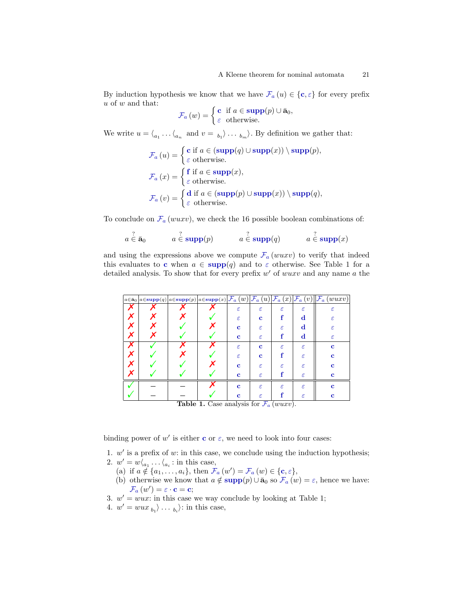By indu[c](#page-6-3)tion hypothesis we know that we have  $\mathcal{F}_a(u) \in \{\mathbf{c}, \varepsilon\}$  $\mathcal{F}_a(u) \in \{\mathbf{c}, \varepsilon\}$  $\mathcal{F}_a(u) \in \{\mathbf{c}, \varepsilon\}$  for every prefix  $u$  of  $w$  and that:

$$
\mathcal{F}_a(w) = \begin{cases} \mathbf{c} & \text{if } a \in \text{supp}(p) \cup \bar{\mathbf{a}}_0, \\ \varepsilon & \text{otherwise.} \end{cases}
$$

We write  $u = \langle_{a_1} \dots \langle_{a_n} \text{ and } v = \rangle_{b_1} \rangle \dots \rangle_{b_m}$ . By definition we gather that:

$$
\mathcal{F}_a(u) = \begin{cases} \mathbf{c} \text{ if } a \in (\text{supp}(q) \cup \text{supp}(x)) \setminus \text{supp}(p), \\ \varepsilon \text{ otherwise.} \end{cases}
$$

$$
\mathcal{F}_a(x) = \begin{cases} \mathbf{f} \text{ if } a \in \text{supp}(x), \\ \varepsilon \text{ otherwise.} \end{cases}
$$

$$
\mathcal{F}_a(v) = \begin{cases} \mathbf{d} \text{ if } a \in (\text{supp}(p) \cup \text{supp}(x)) \setminus \text{supp}(q), \\ \varepsilon \text{ otherwise.} \end{cases}
$$

To conclude on  $\mathcal{F}_a(wuxv)$  $\mathcal{F}_a(wuxv)$  $\mathcal{F}_a(wuxv)$ , we check the 16 possible boolean combinations of:

$$
a \in \bar{\mathbf{a}}_0
$$
  $a \in \mathbf{supp}(p)$   $a \in \mathbf{supp}(q)$   $a \in \mathbf{supp}(q)$   $a \in \mathbf{supp}(x)$ 

and using the expressions above we compute  $\mathcal{F}_a (wuxv)$  $\mathcal{F}_a (wuxv)$  $\mathcal{F}_a (wuxv)$  to verify that indeed this evaluates to [c](#page-6-3) when  $a \in \text{supp}(q)$  $a \in \text{supp}(q)$  $a \in \text{supp}(q)$  and to  $\varepsilon$  otherwise. See Table [1](#page-20-0) for a detailed analysis. To show that for every prefix  $w'$  of  $wuxv$  and any name  $a$  the

|                                                                  |  |  |  |             |               |            |            | $\left\ a\in\bar{\mathbf{a}}_{0}\right\ $ a $\in$ supp $(q)\left\ a\in\text{supp}(p)\right\ $ a $\in$ supp $(x)\left \mathcal{F}_{a}\left(w\right)\right \mathcal{F}_{a}\left(u\right)\left \mathcal{F}_{a}\left(x\right)\right \mathcal{F}_{a}\left(v\right)\left\ \mathcal{F}_{a}\left(wuxv\right)\right\ $ |
|------------------------------------------------------------------|--|--|--|-------------|---------------|------------|------------|---------------------------------------------------------------------------------------------------------------------------------------------------------------------------------------------------------------------------------------------------------------------------------------------------------------|
|                                                                  |  |  |  | ε           | ε             | ε          | ε          | ε                                                                                                                                                                                                                                                                                                             |
| х                                                                |  |  |  | $\epsilon$  | c             |            | d          | ε                                                                                                                                                                                                                                                                                                             |
| х                                                                |  |  |  | c           | ε             | ε          | d          | ε                                                                                                                                                                                                                                                                                                             |
|                                                                  |  |  |  | c           | ε             |            | d          | ε                                                                                                                                                                                                                                                                                                             |
|                                                                  |  |  |  | ε           | $\mathbf c$   | ε          | ε          | с                                                                                                                                                                                                                                                                                                             |
|                                                                  |  |  |  | $\epsilon$  | $\mathbf c$   |            | ε          | c                                                                                                                                                                                                                                                                                                             |
|                                                                  |  |  |  | c           | ε             | $\epsilon$ | $\epsilon$ | c                                                                                                                                                                                                                                                                                                             |
|                                                                  |  |  |  | c           | $\varepsilon$ |            | ε          | c                                                                                                                                                                                                                                                                                                             |
|                                                                  |  |  |  | $\mathbf c$ | $\epsilon$    | ε          | ε          | c                                                                                                                                                                                                                                                                                                             |
|                                                                  |  |  |  | c           | ε             |            | ε          | c                                                                                                                                                                                                                                                                                                             |
| <b>Table 1</b> Case analysis for $\mathcal{F}$<br>$($ anaraa $)$ |  |  |  |             |               |            |            |                                                                                                                                                                                                                                                                                                               |

<span id="page-20-0"></span>**Table 1.** Case analysis for  $\mathcal{F}_a$  $\mathcal{F}_a$  $\mathcal{F}_a$  (wuxv).

binding power of  $w'$  is either [c](#page-6-3) or  $\varepsilon$ , we need to look into four cases:

- 1.  $w'$  is a prefix of  $w$ : in this case, we conclude using the induction hypothesis;
- 2.  $w' = w \langle_{a_1} \dots \langle_{a_i} : \text{in this case},\rangle$ 
	- (a) if  $a \notin \{a_1, \ldots, a_i\}$ , then  $\mathcal{F}_a(w') = \mathcal{F}_a(w) \in \{\mathbf{c}, \varepsilon\}$  $\mathcal{F}_a(w') = \mathcal{F}_a(w) \in \{\mathbf{c}, \varepsilon\}$  $\mathcal{F}_a(w') = \mathcal{F}_a(w) \in \{\mathbf{c}, \varepsilon\}$  $\mathcal{F}_a(w') = \mathcal{F}_a(w) \in \{\mathbf{c}, \varepsilon\}$  $\mathcal{F}_a(w') = \mathcal{F}_a(w) \in \{\mathbf{c}, \varepsilon\}$ ,
	- (b) otherwise we know that  $a \notin \text{supp}(p) \cup \bar{a}_0$  $a \notin \text{supp}(p) \cup \bar{a}_0$  $a \notin \text{supp}(p) \cup \bar{a}_0$  so  $\mathcal{F}_a(w) = \varepsilon$  $\mathcal{F}_a(w) = \varepsilon$  $\mathcal{F}_a(w) = \varepsilon$ , hence we have:  $\mathcal{F}_{a}(w') = \varepsilon \cdot \mathbf{c} = \mathbf{c};$  $\mathcal{F}_{a}(w') = \varepsilon \cdot \mathbf{c} = \mathbf{c};$  $\mathcal{F}_{a}(w') = \varepsilon \cdot \mathbf{c} = \mathbf{c};$  $\mathcal{F}_{a}(w') = \varepsilon \cdot \mathbf{c} = \mathbf{c};$  $\mathcal{F}_{a}(w') = \varepsilon \cdot \mathbf{c} = \mathbf{c};$
- 3.  $w' = wux$ : in this case we way conclude by looking at Table [1;](#page-20-0)
- 4.  $w' = wux_{b_1} \cdots_{b_i}$ : in this case,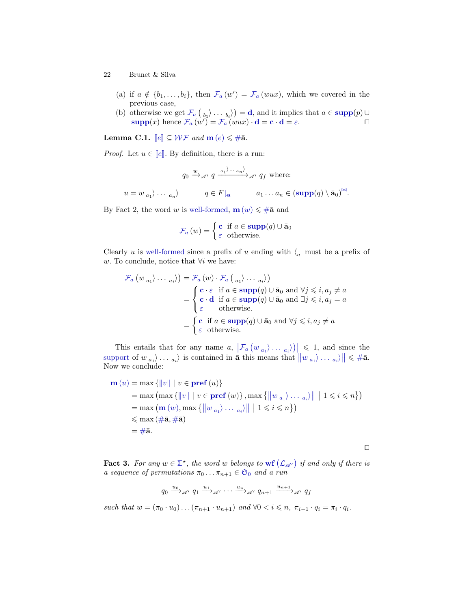- (a) if  $a \notin \{b_1, \ldots, b_i\}$ , then  $\mathcal{F}_a(w') = \mathcal{F}_a(wux)$  $\mathcal{F}_a(w') = \mathcal{F}_a(wux)$  $\mathcal{F}_a(w') = \mathcal{F}_a(wux)$ , which we covered in the previous case,
- (b) otherwise we get  $\mathcal{F}_a\left(\begin{smallmatrix}b_1\end{smallmatrix}\right)\cdots b_i\rangle = \mathbf{d}$  $\mathcal{F}_a\left(\begin{smallmatrix}b_1\end{smallmatrix}\right)\cdots b_i\rangle = \mathbf{d}$  $\mathcal{F}_a\left(\begin{smallmatrix}b_1\end{smallmatrix}\right)\cdots b_i\rangle = \mathbf{d}$  $\mathcal{F}_a\left(\begin{smallmatrix}b_1\end{smallmatrix}\right)\cdots b_i\rangle = \mathbf{d}$  $\mathcal{F}_a\left(\begin{smallmatrix}b_1\end{smallmatrix}\right)\cdots b_i\rangle = \mathbf{d}$ , and it implies that  $a \in \text{supp}(p) \cup$  $a \in \text{supp}(p) \cup$  $a \in \text{supp}(p) \cup$  $\text{supp}(x)$  $\text{supp}(x)$  $\text{supp}(x)$  hen[c](#page-6-3)e  $\mathcal{F}_a(w^i) = \mathcal{F}_a(wux) \cdot \mathbf{d} = \mathbf{c} \cdot \mathbf{d} = \varepsilon.$  $\mathcal{F}_a(w^i) = \mathcal{F}_a(wux) \cdot \mathbf{d} = \mathbf{c} \cdot \mathbf{d} = \varepsilon.$  $\mathcal{F}_a(w^i) = \mathcal{F}_a(wux) \cdot \mathbf{d} = \mathbf{c} \cdot \mathbf{d} = \varepsilon.$  $\mathcal{F}_a(w^i) = \mathcal{F}_a(wux) \cdot \mathbf{d} = \mathbf{c} \cdot \mathbf{d} = \varepsilon.$  $\mathcal{F}_a(w^i) = \mathcal{F}_a(wux) \cdot \mathbf{d} = \mathbf{c} \cdot \mathbf{d} = \varepsilon.$

L[e](#page-2-1)[m](#page-7-2)ma C.1.  $\llbracket e \rrbracket \subseteq \mathcal{WF}$  $\llbracket e \rrbracket \subseteq \mathcal{WF}$  $\llbracket e \rrbracket \subseteq \mathcal{WF}$  and  $\mathbf{m}(e) \leq \#\bar{\mathbf{a}}$  $\mathbf{m}(e) \leq \#\bar{\mathbf{a}}$  $\mathbf{m}(e) \leq \#\bar{\mathbf{a}}$ .

*Proof.* L[e](#page-2-1)t  $u \in \llbracket e \rrbracket$ . By definition, there is a run:

$$
q_0 \xrightarrow{w} \mathscr{A} \to q \xrightarrow{a_1 \to \dots \to a_n} \mathscr{A} \to q_f \text{ where:}
$$
  

$$
u = w_{a_1} \to \dots \to a_n
$$

$$
q \in F|_{\bar{\mathbf{a}}} \qquad a_1 \dots a_n \in (\text{supp}(q) \setminus \bar{\mathbf{a}}_0)^{\bowtie}.
$$

By Fact [2,](#page-13-0) the word w is [well-formed,](#page-8-0)  $\mathbf{m}(w) \leq \#\bar{\mathbf{a}}$  $\mathbf{m}(w) \leq \#\bar{\mathbf{a}}$  $\mathbf{m}(w) \leq \#\bar{\mathbf{a}}$  $\mathbf{m}(w) \leq \#\bar{\mathbf{a}}$  $\mathbf{m}(w) \leq \#\bar{\mathbf{a}}$  and

$$
\mathcal{F}_a(w) = \begin{cases} \mathbf{c} & \text{if } a \in \text{supp}(q) \cup \bar{\mathbf{a}}_0 \\ \varepsilon & \text{otherwise.} \end{cases}
$$

Clearly u is [well-formed](#page-8-0) since a prefix of u ending with  $\zeta_a$  must be a prefix of w. To conclude, notice that  $\forall i$  we have:

$$
\mathcal{F}_a (w_{a_1} \rangle \dots_{a_i}) = \mathcal{F}_a (w) \cdot \mathcal{F}_a (a_1 \rangle \dots a_i)
$$
\n
$$
= \begin{cases}\n\mathbf{c} \cdot \varepsilon & \text{if } a \in \text{supp}(q) \cup \bar{\mathbf{a}}_0 \text{ and } \forall j \leqslant i, a_j \neq a \\
\mathbf{c} \cdot \mathbf{d} & \text{if } a \in \text{supp}(q) \cup \bar{\mathbf{a}}_0 \text{ and } \exists j \leqslant i, a_j = a \\
\varepsilon & \text{otherwise.} \n\end{cases}
$$
\n
$$
= \begin{cases}\n\mathbf{c} & \text{if } a \in \text{supp}(q) \cup \bar{\mathbf{a}}_0 \text{ and } \forall j \leqslant i, a_j \neq a \\
\varepsilon & \text{otherwise.}\n\end{cases}
$$

This entails that for any name  $a, \left| \mathcal{F}_a \left( w_{a_1} \right) \dots \right|_a \leq 1$  $a, \left| \mathcal{F}_a \left( w_{a_1} \right) \dots \right|_a \leq 1$  $a, \left| \mathcal{F}_a \left( w_{a_1} \right) \dots \right|_a \leq 1$ , and since the [support](#page-3-0) of  $w_{a_1} \rangle \dots a_i$  is contained in  $\bar{a}$  this means that  $||w_{a_1} \rangle \dots a_i \rangle || \leq \#\bar{a}$  $||w_{a_1} \rangle \dots a_i \rangle || \leq \#\bar{a}$  $||w_{a_1} \rangle \dots a_i \rangle || \leq \#\bar{a}$ . Now we conclude:

$$
\mathbf{m}(u) = \max \{ ||v|| \mid v \in \mathbf{pref}(u) \}
$$
  
= max (max {||v|| | v \in \mathbf{pref}(w)}, max {||w\_{a\_1}\rangle \dots a\_i} || | 1 \le i \le n} )  
= max (m(w), max {||w\_{a\_1}\rangle \dots a\_i} || | 1 \le i \le n} )  

$$
\le max (\# \mathbf{\overline{a}}, \# \mathbf{\overline{a}})
$$
  
= # $\mathbf{\overline{a}}.$ 

 $\Box$ 

**Fact 3.** For any  $w \in \mathbb{Z}^*$ , the word w belongs to  $\textbf{wf}(\mathcal{L}_{\mathscr{A}})$  $\textbf{wf}(\mathcal{L}_{\mathscr{A}})$  $\textbf{wf}(\mathcal{L}_{\mathscr{A}})$  $\textbf{wf}(\mathcal{L}_{\mathscr{A}})$  $\textbf{wf}(\mathcal{L}_{\mathscr{A}})$  if and only if there is a sequence of permutations  $\pi_0 \dots \pi_{n+1} \in \mathfrak{S}_0$  $\pi_0 \dots \pi_{n+1} \in \mathfrak{S}_0$  $\pi_0 \dots \pi_{n+1} \in \mathfrak{S}_0$  and a run

$$
q_0 \xrightarrow{u_0} \mathscr{A} \colon q_1 \xrightarrow{u_1} \mathscr{A} \colon \cdots \xrightarrow{u_n} \mathscr{A} \colon q_{n+1} \xrightarrow{u_{n+1}} \mathscr{A} \colon q_f
$$

such that  $w = (\pi_0 \cdot u_0) \dots (\pi_{n+1} \cdot u_{n+1})$  and  $\forall 0 < i \leq n, \pi_{i-1} \cdot q_i = \pi_i \cdot q_i$ .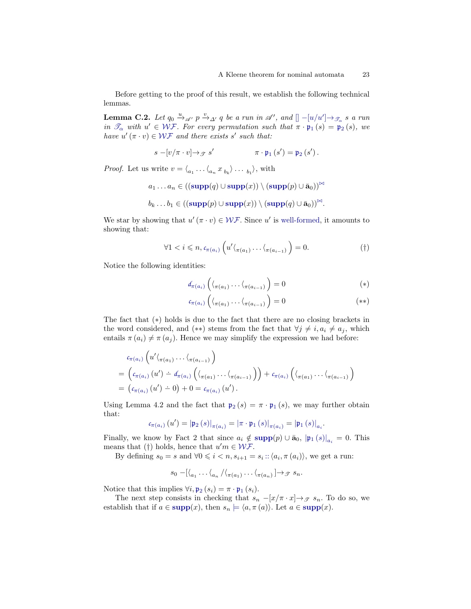Before getting to the proof of this result, we establish the following technical lemmas.

**Lemma C.2.** Let  $q_0 \stackrel{u}{\rightarrow}_{\mathscr{A}}$ ,  $p \stackrel{v}{\rightarrow}_{\Delta'} q$  be a run in  $\mathscr{A}'$ , and  $[] - [u/u'] \rightarrow_{\mathscr{T}_{\alpha}} s$  $[] - [u/u'] \rightarrow_{\mathscr{T}_{\alpha}} s$  $[] - [u/u'] \rightarrow_{\mathscr{T}_{\alpha}} s$  $[] - [u/u'] \rightarrow_{\mathscr{T}_{\alpha}} s$  a run in  $\mathscr{T}_{\alpha}$  $\mathscr{T}_{\alpha}$  $\mathscr{T}_{\alpha}$  $\mathscr{T}_{\alpha}$  $\mathscr{T}_{\alpha}$  with  $u' \in \mathcal{WF}$  $u' \in \mathcal{WF}$  $u' \in \mathcal{WF}$ . For every permutation such that  $\pi \cdot \mathfrak{p}_1(s) = \mathfrak{p}_2(s)$ , we have  $u'(\pi \cdot v) \in \mathcal{WF}$  $u'(\pi \cdot v) \in \mathcal{WF}$  $u'(\pi \cdot v) \in \mathcal{WF}$  and there exists s' such that:

$$
s - [v/\pi \cdot v] \rightarrow \mathcal{F} s' \qquad \qquad \pi \cdot \mathfrak{p}_1 (s') = \mathfrak{p}_2 (s') \, .
$$

*Proof.* Let us write  $v = \langle_{a_1} \dots \langle_{a_n} x_{b_k} \rangle \dots \langle_{b_1} \rangle$ , with

 $a_1 \ldots a_n \in ((\text{supp}(q) \cup \text{supp}(x)) \setminus (\text{supp}(p) \cup \bar{a}_0))^{\bowtie}$  $a_1 \ldots a_n \in ((\text{supp}(q) \cup \text{supp}(x)) \setminus (\text{supp}(p) \cup \bar{a}_0))^{\bowtie}$  $a_1 \ldots a_n \in ((\text{supp}(q) \cup \text{supp}(x)) \setminus (\text{supp}(p) \cup \bar{a}_0))^{\bowtie}$ 

$$
b_k \ldots b_1 \in ((\mathbf{supp}(p) \cup \mathbf{supp}(x)) \setminus (\mathbf{supp}(q) \cup \bar{a}_0))^{\bowtie}.
$$

We star by showing that  $u'(\pi \cdot v) \in \mathcal{WF}$  $u'(\pi \cdot v) \in \mathcal{WF}$  $u'(\pi \cdot v) \in \mathcal{WF}$ . Since u' is [well-formed,](#page-8-0) it amounts to showing that:

<span id="page-22-0"></span>
$$
\forall 1 < i \leq n, c_{\pi(a_i)} \left( u' \langle \pi(a_1) \dots \langle \pi(a_{i-1}) \rangle \right) = 0. \tag{\dagger}
$$

Notice the following identities:

$$
d_{\pi(a_i)}\left(\langle \pi(a_1)\cdots\langle \pi(a_{i-1})\right)=0\right)
$$
 (\*)

$$
c_{\pi(a_i)}\left(\langle_{\pi(a_1)}\ldots\langle_{\pi(a_{i-1})}\right)=0\tag{**}
$$

The fact that ([∗](#page-22-0)) holds is due to the fact that there are no closing brackets in the word considered, and (\*\*) stems from the fact that  $\forall j \neq i, a_i \neq a_j$ , which entails  $\pi(a_i) \neq \pi(a_j)$ . Hence we may simplify the expression we had before:

$$
c_{\pi(a_i)}\left(u'\langle_{\pi(a_1)}\ldots\langle_{\pi(a_{i-1})}\right)
$$
  
= 
$$
\left(c_{\pi(a_i)}(u') - d_{\pi(a_i)}\left(\langle_{\pi(a_1)}\ldots\langle_{\pi(a_{i-1})}\right)\right) + c_{\pi(a_i)}\left(\langle_{\pi(a_1)}\ldots\langle_{\pi(a_{i-1})}\right)\right)
$$
  
= 
$$
\left(c_{\pi(a_i)}(u') - 0\right) + 0 = c_{\pi(a_i)}(u').
$$

Using Lemma [4.2](#page-9-2) and the fact that  $\mathfrak{p}_2(s) = \pi \cdot \mathfrak{p}_1(s)$  $\mathfrak{p}_2(s) = \pi \cdot \mathfrak{p}_1(s)$  $\mathfrak{p}_2(s) = \pi \cdot \mathfrak{p}_1(s)$ , we may further obtain that:

$$
c_{\pi\left(a_{i}\right)}\left(u^{\prime}\right)=\left|\mathfrak{p}_{2}\left(s\right)\right|_{\pi\left(a_{i}\right)}=\left|\pi\cdot\mathfrak{p}_{1}\left(s\right)\right|_{\pi\left(a_{i}\right)}=\left|\mathfrak{p}_{1}\left(s\right)\right|_{a_{i}}.
$$

Finally, we know by Fact [2](#page-13-0) that since  $a_i \notin \text{supp}(p) \cup \bar{a}_0$  $a_i \notin \text{supp}(p) \cup \bar{a}_0$  $a_i \notin \text{supp}(p) \cup \bar{a}_0$  $a_i \notin \text{supp}(p) \cup \bar{a}_0$  $a_i \notin \text{supp}(p) \cup \bar{a}_0$ ,  $|\mathfrak{p}_1(s)|_{a_i} = 0$ . This means that ([†](#page-22-0)) holds, hence that  $u'm \in \mathcal{WF}$  $u'm \in \mathcal{WF}$  $u'm \in \mathcal{WF}$ .

By defining  $s_0 = s$  and  $\forall 0 \leq i < n$ ,  $s_{i+1} = s_i :: \langle a_i, \pi(a_i) \rangle$  $s_{i+1} = s_i :: \langle a_i, \pi(a_i) \rangle$  $s_{i+1} = s_i :: \langle a_i, \pi(a_i) \rangle$ , we get a run:

$$
s_0 - [\langle_{a_1} \ldots \langle_{a_n} / \langle_{\pi(a_1)} \ldots \langle_{\pi(a_n)} \rangle] \rightarrow \mathcal{F} s_n.
$$

Notice that this im[p](#page-8-3)lies  $\forall i, \mathfrak{p}_2 (s_i) = \pi \cdot \mathfrak{p}_1 (s_i)$ .

The next step consists in checking that  $s_n - [x/\pi \cdot x] \rightarrow \mathcal{F}$  s<sub>n</sub>. To do so, we establish that if  $a \in \text{supp}(x)$  $a \in \text{supp}(x)$  $a \in \text{supp}(x)$ , then  $s_n \models \langle a, \pi (a) \rangle$ . Let  $a \in \text{supp}(x)$ .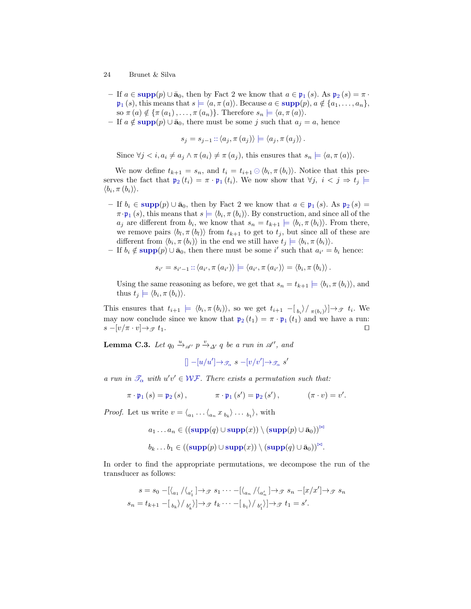- If  $a \in \text{supp}(p) \cup \bar{a}_0$  $a \in \text{supp}(p) \cup \bar{a}_0$  $a \in \text{supp}(p) \cup \bar{a}_0$  $a \in \text{supp}(p) \cup \bar{a}_0$  $a \in \text{supp}(p) \cup \bar{a}_0$ , then by Fact [2](#page-13-0) we know that  $a \in \mathfrak{p}_1(s)$ . As  $\mathfrak{p}_2(s) = \pi$ .  $\mathfrak{p}_1(s)$  $\mathfrak{p}_1(s)$  $\mathfrak{p}_1(s)$ , this means that  $s \models \langle a, \pi(a) \rangle$ . Because  $a \in \text{supp}(p)$  $a \in \text{supp}(p)$  $a \in \text{supp}(p)$ ,  $a \notin \{a_1, \ldots, a_n\},$ so  $\pi(a) \notin {\pi(a_1), \ldots, \pi(a_n)}$ . Therefore  $s_n \models \langle a, \pi(a) \rangle$ .
- If  $a \notin \text{supp}(p) \cup \bar{a}_0$  $a \notin \text{supp}(p) \cup \bar{a}_0$  $a \notin \text{supp}(p) \cup \bar{a}_0$ , there must be some j such that  $a_j = a$ , hence

$$
s_j = s_{j-1} :: \langle a_j, \pi(a_j) \rangle \models \langle a_j, \pi(a_j) \rangle.
$$

Since  $\forall j \leq i, a_i \neq a_j \land \pi(a_i) \neq \pi(a_j)$ , this ensures that  $s_n \models \langle a, \pi(a) \rangle$ .

We now define  $t_{k+1} = s_n$ , and  $t_i = t_{i+1} \ominus \langle b_i, \pi(b_i) \rangle$ . Notice that this preserves the fact that  $\mathfrak{p}_2(t_i) = \pi \cdot \mathfrak{p}_1(t_i)$  $\mathfrak{p}_2(t_i) = \pi \cdot \mathfrak{p}_1(t_i)$  $\mathfrak{p}_2(t_i) = \pi \cdot \mathfrak{p}_1(t_i)$  $\mathfrak{p}_2(t_i) = \pi \cdot \mathfrak{p}_1(t_i)$  $\mathfrak{p}_2(t_i) = \pi \cdot \mathfrak{p}_1(t_i)$ . We now show that  $\forall j, i < j \Rightarrow t_j \models$  $\langle b_i, \pi(b_i) \rangle.$ 

- If  $b_i \in \text{supp}(p) \cup \bar{a}_0$  $b_i \in \text{supp}(p) \cup \bar{a}_0$  $b_i \in \text{supp}(p) \cup \bar{a}_0$  $b_i \in \text{supp}(p) \cup \bar{a}_0$  $b_i \in \text{supp}(p) \cup \bar{a}_0$ , then by Fact [2](#page-13-0) we know that  $a \in \mathfrak{p}_1(s)$ . As  $\mathfrak{p}_2(s) =$  $\pi \cdot \mathfrak{p}_1(s)$  $\pi \cdot \mathfrak{p}_1(s)$  $\pi \cdot \mathfrak{p}_1(s)$ , this means that  $s \models \langle b_i, \pi(b_i) \rangle$ . By construction, and since all of the  $a_j$  are different from  $b_i$ , we know that  $s_n = t_{k+1} \models \langle b_i, \pi(b_i) \rangle$  $s_n = t_{k+1} \models \langle b_i, \pi(b_i) \rangle$  $s_n = t_{k+1} \models \langle b_i, \pi(b_i) \rangle$ . From there, we remove pairs  $\langle b_l, \pi(b_l) \rangle$  from  $t_{k+1}$  to get to  $t_j$ , but since all of these are different from  $\langle b_i, \pi(b_i) \rangle$  in the end we still have  $t_j \models \langle b_i, \pi(b_i) \rangle$ .
- If  $b_i \notin \text{supp}(p) \cup \bar{a}_0$  $b_i \notin \text{supp}(p) \cup \bar{a}_0$  $b_i \notin \text{supp}(p) \cup \bar{a}_0$ , then there must be some i' such that  $a_{i'} = b_i$  hence:

$$
s_{i'} = s_{i'-1} :: \langle a_{i'}, \pi(a_{i'}) \rangle \models \langle a_{i'}, \pi(a_{i'}) \rangle = \langle b_i, \pi(b_i) \rangle.
$$

Using the same reasoning as before, we get that  $s_n = t_{k+1} \models \langle b_i, \pi(b_i) \rangle$  $s_n = t_{k+1} \models \langle b_i, \pi(b_i) \rangle$  $s_n = t_{k+1} \models \langle b_i, \pi(b_i) \rangle$ , and thus  $t_j \models \langle b_i, \pi(b_i) \rangle$ .

This ensures that  $t_{i+1} \models \langle b_i, \pi(b_i) \rangle$ , so we get  $t_{i+1} - [b_i \rangle / \pi(b_i) ] \rightarrow \mathcal{F}$   $t_i$ . We may now conclude since we know that  $\mathfrak{p}_2(t_1) = \pi \cdot \mathfrak{p}_1(t_1)$  $\mathfrak{p}_2(t_1) = \pi \cdot \mathfrak{p}_1(t_1)$  $\mathfrak{p}_2(t_1) = \pi \cdot \mathfrak{p}_1(t_1)$  and we have a run:  $s - [v/\pi \cdot v] \rightarrow \mathcal{F}$  t<sub>1</sub>.

**Lemma C.3.** Let  $q_0 \stackrel{u}{\rightarrow}_{\mathcal{A}'} p \stackrel{v}{\rightarrow}_{\Delta'} q$  be a run in  $\mathcal{A}'$ , and

$$
[] - [u/u'] \rightarrow \mathscr{T}_\alpha \ s - [v/v'] \rightarrow \mathscr{T}_\alpha \ s'
$$

a run in  $\mathcal{T}_{\alpha}$  $\mathcal{T}_{\alpha}$  $\mathcal{T}_{\alpha}$  with  $u'v' \in \mathcal{WF}$  $u'v' \in \mathcal{WF}$  $u'v' \in \mathcal{WF}$ . There exists a permutation such that:

$$
\pi \cdot \mathfrak{p}_1 \left( s \right) = \mathfrak{p}_2 \left( s \right), \qquad \qquad \pi \cdot \mathfrak{p}_1 \left( s' \right) = \mathfrak{p}_2 \left( s' \right), \qquad \qquad (\pi \cdot v) = v'.
$$

*Proof.* Let us write  $v = \langle a_1 \dots \langle a_n x_{b_k} \rangle \dots b_1 \rangle$ , with

$$
a_1 \ldots a_n \in \left( (\text{supp}(q) \cup \text{supp}(x) ) \setminus (\text{supp}(p) \cup \bar{\mathbf{a}}_0) \right)^{\bowtie}
$$

$$
b_k \ldots b_1 \in ((\mathbf{supp}(p) \cup \mathbf{supp}(x)) \setminus (\mathbf{supp}(q) \cup \bar{a}_0))^{\bowtie}.
$$

In order to find the appropriate permutations, we decompose the run of the transducer as follows:

$$
s = s_0 - \left[\left\langle a_1 / \left\langle a_1' \right| \rightarrow \mathcal{F} s_1 \cdots - \left| \left\langle a_n / \left\langle a_2' \right| \rightarrow \mathcal{F} s_n - \left[ x / x' \right] \rightarrow \mathcal{F} s_n \right| \right] \right]
$$
  

$$
s_n = t_{k+1} - \left[ \left. \rightb_k \right\rangle / \left. \rightb_k' \right\rangle \rightarrow \mathcal{F} t_k \cdots - \left[ \left. \rightb_1 \right\rangle / \left. \rightb_1' \right\rangle \rightarrow \mathcal{F} t_1 = s'.
$$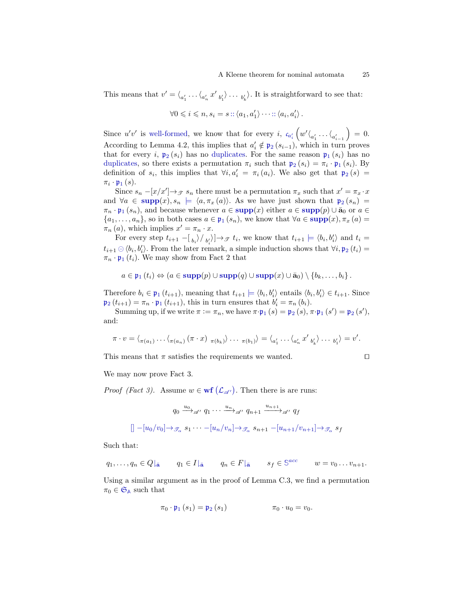This means that  $v' = \langle_{a'_1} \dots \langle_{a'_n} x'_{b'_1} \rangle \dots b'_{b'_k} \rangle$ . It is straightforward to see that:

$$
\forall 0 \leqslant i \leqslant n, s_i = s :: \langle a_1, a'_1 \rangle \cdots :: \langle a_i, a'_i \rangle \, .
$$

Sin[c](#page-7-9)e  $u'v'$  is [well-formed,](#page-8-0) we know that for every i,  $c_{a'_i} \left( w' \langle a'_1 \dots \langle a'_{a_{i-1}} \dots \rangle a'_{a_{i-1}} \right)$  $= 0.$ According to Lemma [4.2,](#page-9-2) this im[p](#page-8-3)lies that  $a'_i \notin \mathfrak{p}_2(s_{i-1})$ , which in turn proves that for every i,  $p_2(s_i)$  $p_2(s_i)$  has no [duplicates.](#page-2-4) For the same reason  $p_1(s_i)$  has no [duplicates,](#page-2-4) so there exists a [p](#page-8-3)ermutation  $\pi_i$  such that  $\mathfrak{p}_2(s_i) = \pi_i \cdot \mathfrak{p}_1(s_i)$ . By definition of  $s_i$ , this im[p](#page-8-3)lies that  $\forall i, a'_i = \pi_i(a_i)$ . We also get that  $\mathfrak{p}_2(s) =$  $\pi_i \cdot \mathfrak{p}_1(s)$  $\pi_i \cdot \mathfrak{p}_1(s)$  $\pi_i \cdot \mathfrak{p}_1(s)$ .

Since  $s_n - [x/x'] \rightarrow \mathcal{F}$  s<sub>n</sub> there must be a permutation  $\pi_x$  such that  $x' = \pi_x \cdot x$ and  $\forall a \in \text{supp}(x), s_n \models \langle a, \pi_x(a) \rangle$  $\forall a \in \text{supp}(x), s_n \models \langle a, \pi_x(a) \rangle$  $\forall a \in \text{supp}(x), s_n \models \langle a, \pi_x(a) \rangle$  $\forall a \in \text{supp}(x), s_n \models \langle a, \pi_x(a) \rangle$  $\forall a \in \text{supp}(x), s_n \models \langle a, \pi_x(a) \rangle$ . As we have just shown that  $\mathfrak{p}_2(s_n) =$  $\mathfrak{p}_2(s_n) =$  $\pi_n \cdot \mathfrak{p}_1(s_n)$  $\pi_n \cdot \mathfrak{p}_1(s_n)$  $\pi_n \cdot \mathfrak{p}_1(s_n)$ , and because whenever  $a \in \text{supp}(x)$  $a \in \text{supp}(x)$  $a \in \text{supp}(x)$  either  $a \in \text{supp}(p) \cup \bar{a}_0$  or  $a \in$  $\{a_1, \ldots, a_n\}$ , so in both cases  $a \in \mathfrak{p}_1(s_n)$  $a \in \mathfrak{p}_1(s_n)$  $a \in \mathfrak{p}_1(s_n)$ , we know that  $\forall a \in \text{supp}(x), \pi_x(a) =$  $\forall a \in \text{supp}(x), \pi_x(a) =$  $\forall a \in \text{supp}(x), \pi_x(a) =$  $\pi_n(a)$ , which implies  $x' = \pi_n \cdot x$ .

For every step  $t_{i+1} - (b_i / b_i') \rightarrow \mathcal{F}$   $t_i$ , we know that  $t_{i+1} \models \langle b_i, b_i' \rangle$  and  $t_i =$  $t_i =$  $t_{i+1} \odot \langle b_i, b_i' \rangle$ . From the later remark, a sim[p](#page-8-3)le induction shows that  $\forall i, \mathfrak{p}_2 (t_i) =$  $\pi_n \cdot \mathfrak{p}_1(t_i)$  $\pi_n \cdot \mathfrak{p}_1(t_i)$  $\pi_n \cdot \mathfrak{p}_1(t_i)$ . We may show from Fact [2](#page-13-0) that

$$
a \in \mathfrak{p}_1(t_i) \Leftrightarrow (a \in \mathrm{supp}(p) \cup \mathrm{supp}(q) \cup \mathrm{supp}(x) \cup \bar{a}_0) \setminus \{b_k, \ldots, b_i\}.
$$

Therefore  $b_i \in \mathfrak{p}_1(t_{i+1})$  $b_i \in \mathfrak{p}_1(t_{i+1})$  $b_i \in \mathfrak{p}_1(t_{i+1})$ , meaning that  $t_{i+1} \models \langle b_i, b_i' \rangle$  entails  $\langle b_i, b_i' \rangle \in t_{i+1}$ . Since  $\mathfrak{p}_2(t_{i+1}) = \pi_n \cdot \mathfrak{p}_1(t_{i+1}),$  $\mathfrak{p}_2(t_{i+1}) = \pi_n \cdot \mathfrak{p}_1(t_{i+1}),$  $\mathfrak{p}_2(t_{i+1}) = \pi_n \cdot \mathfrak{p}_1(t_{i+1}),$  this in turn ensures that  $b'_i = \pi_n(b_i).$ 

Summing u[p](#page-8-3), if we write  $\pi := \pi_n$ , we have  $\pi \cdot \mathfrak{p}_1(s) = \mathfrak{p}_2(s)$ ,  $\pi \cdot \mathfrak{p}_1(s') = \mathfrak{p}_2(s')$ , and:

$$
\pi \cdot v = \langle \pi(a_1) \cdots \langle \pi(a_n) (\pi \cdot x) \pi(b_k) \rangle \cdots \pi(b_1) \rangle = \langle a'_1 \cdots \langle a'_n x' b'_k \rangle \cdots b'_1 \rangle = v'.
$$

This means that  $\pi$  satisfies the requirements we wanted.

$$
\Box
$$

We may now prove Fact [3.](#page-13-1)

*Proof (Fact [3\)](#page-13-1).* Assume  $w \in \text{wf}(\mathcal{L}_{\mathscr{A}})$  $w \in \text{wf}(\mathcal{L}_{\mathscr{A}})$  $w \in \text{wf}(\mathcal{L}_{\mathscr{A}})$  $w \in \text{wf}(\mathcal{L}_{\mathscr{A}})$  $w \in \text{wf}(\mathcal{L}_{\mathscr{A}})$ . Then there is are runs:

$$
q_0 \xrightarrow{u_0} \mathscr{A} \cdot q_1 \cdots \xrightarrow{u_n} \mathscr{A} \cdot q_{n+1} \xrightarrow{u_{n+1}} \mathscr{A} \cdot q_f
$$
  

$$
[] - [u_0/v_0] \rightarrow \mathscr{F}_{\alpha} \cdot s_1 \cdots - [u_n/v_n] \rightarrow \mathscr{F}_{\alpha} \cdot s_{n+1} - [u_{n+1}/v_{n+1}] \rightarrow \mathscr{F}_{\alpha} \cdot s_f
$$

Such that:

 $q_1, \ldots, q_n \in Q|_{\bar{\mathbf{a}}}$   $q_1 \in I|_{\bar{\mathbf{a}}}$   $q_n \in F|_{\bar{\mathbf{a}}}$   $s_f \in \mathbb{S}^{acc}$  $s_f \in \mathbb{S}^{acc}$  $s_f \in \mathbb{S}^{acc}$   $w = v_0 \ldots v_{n+1}$ .

Using a similar argument as in the proof of Lemma [C.3,](#page-3-2) we find a permutation  $\pi_0 \in \mathfrak{S}_{\mathbb{A}}$  $\pi_0 \in \mathfrak{S}_{\mathbb{A}}$  $\pi_0 \in \mathfrak{S}_{\mathbb{A}}$  $\pi_0 \in \mathfrak{S}_{\mathbb{A}}$  $\pi_0 \in \mathfrak{S}_{\mathbb{A}}$  such that

$$
\pi_0 \cdot \mathfrak{p}_1 \left( s_1 \right) = \mathfrak{p}_2 \left( s_1 \right) \qquad \qquad \pi_0 \cdot u_0 = v_0.
$$